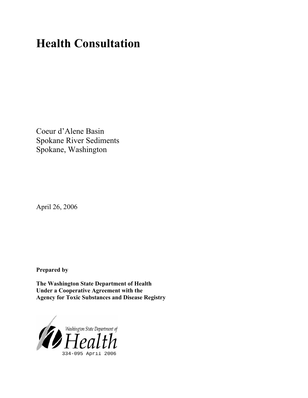# **Health Consultation**

Coeur d'Alene Basin Spokane River Sediments Spokane, Washington

April 26, 2006

**Prepared by** 

**The Washington State Department of Health Under a Cooperative Agreement with the Agency for Toxic Substances and Disease Registry**

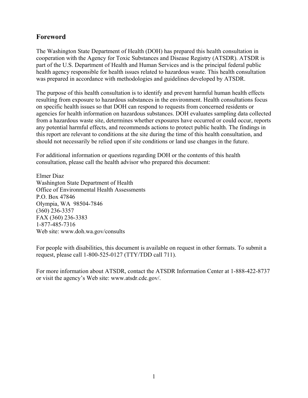# **Foreword**

The Washington State Department of Health (DOH) has prepared this health consultation in cooperation with the Agency for Toxic Substances and Disease Registry (ATSDR). ATSDR is part of the U.S. Department of Health and Human Services and is the principal federal public health agency responsible for health issues related to hazardous waste. This health consultation was prepared in accordance with methodologies and guidelines developed by ATSDR.

The purpose of this health consultation is to identify and prevent harmful human health effects resulting from exposure to hazardous substances in the environment. Health consultations focus on specific health issues so that DOH can respond to requests from concerned residents or agencies for health information on hazardous substances. DOH evaluates sampling data collected from a hazardous waste site, determines whether exposures have occurred or could occur, reports any potential harmful effects, and recommends actions to protect public health. The findings in this report are relevant to conditions at the site during the time of this health consultation, and should not necessarily be relied upon if site conditions or land use changes in the future.

For additional information or questions regarding DOH or the contents of this health consultation, please call the health advisor who prepared this document:

Elmer Diaz Washington State Department of Health Office of Environmental Health Assessments P.O. Box 47846 Olympia, WA 98504-7846 (360) 236-3357 FAX (360) 236-3383 1-877-485-7316 Web site: [www.doh.wa.gov](www.doh.wa.gov/consults)/consults

For people with disabilities, this document is available on request in other formats. To submit a request, please call 1-800-525-0127 (TTY/TDD call 711).

For more information about ATSDR, contact the ATSDR Information Center at 1-888-422-8737 or visit the agency's Web site: www.atsdr.cdc.gov/.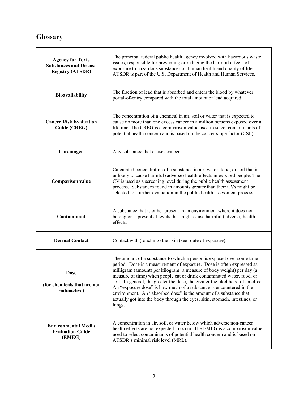# **Glossary**

 $\overline{\mathbf{r}}$ 

| <b>Agency for Toxic</b><br><b>Substances and Disease</b><br><b>Registry (ATSDR)</b> | The principal federal public health agency involved with hazardous waste<br>issues, responsible for preventing or reducing the harmful effects of<br>exposure to hazardous substances on human health and quality of life.<br>ATSDR is part of the U.S. Department of Health and Human Services.                                                                                                                                                                                                                                                                                                                          |
|-------------------------------------------------------------------------------------|---------------------------------------------------------------------------------------------------------------------------------------------------------------------------------------------------------------------------------------------------------------------------------------------------------------------------------------------------------------------------------------------------------------------------------------------------------------------------------------------------------------------------------------------------------------------------------------------------------------------------|
| Bioavailability                                                                     | The fraction of lead that is absorbed and enters the blood by whatever<br>portal-of-entry compared with the total amount of lead acquired.                                                                                                                                                                                                                                                                                                                                                                                                                                                                                |
| <b>Cancer Risk Evaluation</b><br>Guide (CREG)                                       | The concentration of a chemical in air, soil or water that is expected to<br>cause no more than one excess cancer in a million persons exposed over a<br>lifetime. The CREG is a comparison value used to select contaminants of<br>potential health concern and is based on the cancer slope factor (CSF).                                                                                                                                                                                                                                                                                                               |
| Carcinogen                                                                          | Any substance that causes cancer.                                                                                                                                                                                                                                                                                                                                                                                                                                                                                                                                                                                         |
| <b>Comparison value</b>                                                             | Calculated concentration of a substance in air, water, food, or soil that is<br>unlikely to cause harmful (adverse) health effects in exposed people. The<br>CV is used as a screening level during the public health assessment<br>process. Substances found in amounts greater than their CVs might be<br>selected for further evaluation in the public health assessment process.                                                                                                                                                                                                                                      |
| Contaminant                                                                         | A substance that is either present in an environment where it does not<br>belong or is present at levels that might cause harmful (adverse) health<br>effects.                                                                                                                                                                                                                                                                                                                                                                                                                                                            |
| <b>Dermal Contact</b>                                                               | Contact with (touching) the skin (see route of exposure).                                                                                                                                                                                                                                                                                                                                                                                                                                                                                                                                                                 |
| Dose<br>(for chemicals that are not<br>radioactive)                                 | The amount of a substance to which a person is exposed over some time<br>period. Dose is a measurement of exposure. Dose is often expressed as<br>milligram (amount) per kilogram (a measure of body weight) per day (a<br>measure of time) when people eat or drink contaminated water, food, or<br>soil. In general, the greater the dose, the greater the likelihood of an effect.<br>An "exposure dose" is how much of a substance is encountered in the<br>environment. An "absorbed dose" is the amount of a substance that<br>actually got into the body through the eyes, skin, stomach, intestines, or<br>lungs. |
| <b>Environmental Media</b><br><b>Evaluation Guide</b><br>(EMEG)                     | A concentration in air, soil, or water below which adverse non-cancer<br>health effects are not expected to occur. The EMEG is a comparison value<br>used to select contaminants of potential health concern and is based on<br>ATSDR's minimal risk level (MRL).                                                                                                                                                                                                                                                                                                                                                         |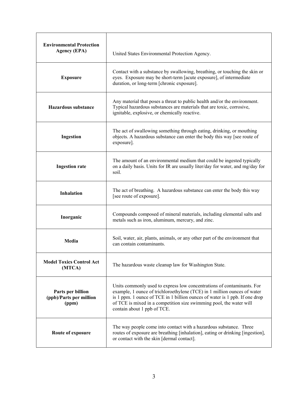| <b>Environmental Protection</b><br><b>Agency (EPA)</b> | United States Environmental Protection Agency.                                                                                                                                                                                                                                                                                          |  |  |
|--------------------------------------------------------|-----------------------------------------------------------------------------------------------------------------------------------------------------------------------------------------------------------------------------------------------------------------------------------------------------------------------------------------|--|--|
| <b>Exposure</b>                                        | Contact with a substance by swallowing, breathing, or touching the skin or<br>eyes. Exposure may be short-term [acute exposure], of intermediate<br>duration, or long-term [chronic exposure].                                                                                                                                          |  |  |
| <b>Hazardous substance</b>                             | Any material that poses a threat to public health and/or the environment.<br>Typical hazardous substances are materials that are toxic, corrosive,<br>ignitable, explosive, or chemically reactive.                                                                                                                                     |  |  |
| Ingestion                                              | The act of swallowing something through eating, drinking, or mouthing<br>objects. A hazardous substance can enter the body this way [see route of<br>exposure].                                                                                                                                                                         |  |  |
| <b>Ingestion rate</b>                                  | The amount of an environmental medium that could be ingested typically<br>on a daily basis. Units for IR are usually liter/day for water, and mg/day for<br>soil.                                                                                                                                                                       |  |  |
| <b>Inhalation</b>                                      | The act of breathing. A hazardous substance can enter the body this way<br>[see route of exposure].                                                                                                                                                                                                                                     |  |  |
| Inorganic                                              | Compounds composed of mineral materials, including elemental salts and<br>metals such as iron, aluminum, mercury, and zinc.                                                                                                                                                                                                             |  |  |
| Media                                                  | Soil, water, air, plants, animals, or any other part of the environment that<br>can contain contaminants.                                                                                                                                                                                                                               |  |  |
| <b>Model Toxics Control Act</b><br>(MTCA)              | The hazardous waste cleanup law for Washington State.                                                                                                                                                                                                                                                                                   |  |  |
| Parts per billion<br>(ppb)/Parts per million<br>(ppm)  | Units commonly used to express low concentrations of contaminants. For<br>example, 1 ounce of trichloroethylene (TCE) in 1 million ounces of water<br>is 1 ppm. 1 ounce of TCE in 1 billion ounces of water is 1 ppb. If one drop<br>of TCE is mixed in a competition size swimming pool, the water will<br>contain about 1 ppb of TCE. |  |  |
| Route of exposure                                      | The way people come into contact with a hazardous substance. Three<br>routes of exposure are breathing [inhalation], eating or drinking [ingestion],<br>or contact with the skin [dermal contact].                                                                                                                                      |  |  |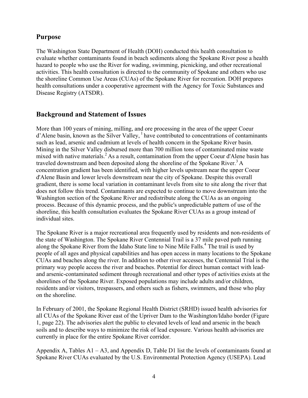# **Purpose**

The Washington State Department of Health (DOH) conducted this health consultation to evaluate whether contaminants found in beach sediments along the Spokane River pose a health hazard to people who use the River for wading, swimming, picnicking, and other recreational activities. This health consultation is directed to the community of Spokane and others who use the shoreline Common Use Areas (CUAs) of the Spokane River for recreation. DOH prepares health consultations under a cooperative agreement with the Agency for Toxic Substances and Disease Registry (ATSDR).

# **Background and Statement of Issues**

More than 100 years of mining, milling, and ore processing in the area of the upper Coeur  $d'$ Alene basin, known as the Silver Valley,  $\frac{1}{2}$  have contributed to concentrations of contaminants such as lead, arsenic and cadmium at levels of health concern in the Spokane River basin. Mining in the Silver Valley disbursed more than 700 million tons of contaminated mine waste mixed with native materials.<sup>2</sup> As a result, contamination from the upper Coeur d'Alene basin has traveled downstream and been deposited along the shoreline of the Spokane River.<sup>3</sup> A concentration gradient has been identified, with higher levels upstream near the upper Coeur d'Alene Basin and lower levels downstream near the city of Spokane. Despite this overall gradient, there is some local variation in contaminant levels from site to site along the river that does not follow this trend. Contaminants are expected to continue to move downstream into the Washington section of the Spokane River and redistribute along the CUAs as an ongoing process. Because of this dynamic process, and the public's unpredictable pattern of use of the shoreline, this health consultation evaluates the Spokane River CUAs as a group instead of individual sites.

The Spokane River is a major recreational area frequently used by residents and non-residents of the state of Washington. The Spokane River Centennial Trail is a 37 mile paved path running along the Spokane River from the Idaho State line to Nine Mile Falls.<sup>4</sup> The trail is used by people of all ages and physical capabilities and has open access in many locations to the Spokane CUAs and beaches along the river. In addition to other river accesses, the Centennial Trial is the primary way people access the river and beaches. Potential for direct human contact with leadand arsenic-contaminated sediment through recreational and other types of activities exists at the shorelines of the Spokane River. Exposed populations may include adults and/or children, residents and/or visitors, trespassers, and others such as fishers, swimmers, and those who play on the shoreline.

In February of 2001, the Spokane Regional Health District (SRHD) issued health advisories for all CUAs of the Spokane River east of the Upriver Dam to the Washington/Idaho border (Figure 1, page 22). The advisories alert the public to elevated levels of lead and arsenic in the beach soils and to describe ways to minimize the risk of lead exposure. Various health advisories are currently in place for the entire Spokane River corridor.

Appendix A, Tables  $A1 - A3$ , and Appendix D, Table D1 list the levels of contaminants found at Spokane River CUAs evaluated by the U.S. Environmental Protection Agency (USEPA). Lead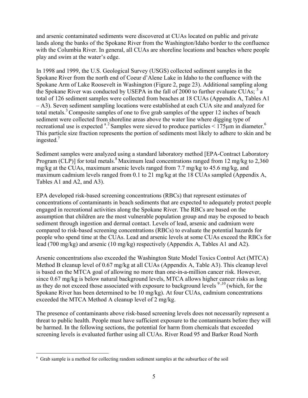and arsenic contaminated sediments were discovered at CUAs located on public and private lands along the banks of the Spokane River from the Washington/Idaho border to the confluence with the Columbia River. In general, all CUAs are shoreline locations and beaches where people play and swim at the water's edge.

In 1998 and 1999, the U.S. Geological Survey (USGS) collected sediment samples in the Spokane River from the north end of Coeur d'Alene Lake in Idaho to the confluence with the Spokane Arm of Lake Roosevelt in Washington (Figure 2, page 23). Additional sampling along the Spokane River was conducted by USEPA in the fall of 2000 to further evaluate  $\overline{C}U\overline{A}s$ ;  $\overline{s}$  a total of 126 sediment samples were collected from beaches at 18 CUAs (Appendix A, Tables A1 – A3). Seven sediment sampling locations were established at each CUA site and analyzed for total metals.<sup>3</sup> Composite samples of one to five grab samples of the upper 12 inches of beach sediment were collected from shoreline areas above the water line where digging type of recreational use is expected <sup>a 2</sup> Samples were sieved to produce particles  $\leq 175 \mu m$  in diameter.<sup>6</sup> This particle size fraction represents the portion of sediments most likely to adhere to skin and be ingested.<sup>7</sup>

Sediment samples were analyzed using a standard laboratory method [EPA-Contract Laboratory Program (CLP)] for total metals.<sup>8</sup> Maximum lead concentrations ranged from 12 mg/kg to 2,360 mg/kg at the CUAs, maximum arsenic levels ranged from 7.7 mg/kg to 45.6 mg/kg, and maximum cadmium levels ranged from 0.1 to 21 mg/kg at the 18 CUAs sampled (Appendix A, Tables A1 and A2, and A3).

EPA developed risk-based screening concentrations (RBCs) that represent estimates of concentrations of contaminants in beach sediments that are expected to adequately protect people engaged in recreational activities along the Spokane River. The RBCs are based on the assumption that children are the most vulnerable population group and may be exposed to beach sediment through ingestion and dermal contact. Levels of lead, arsenic and cadmium were compared to risk-based screening concentrations (RBCs) to evaluate the potential hazards for people who spend time at the CUAs. Lead and arsenic levels at some CUAs exceed the RBCs for lead (700 mg/kg) and arsenic (10 mg/kg) respectively (Appendix A, Tables A1 and A2).

Arsenic concentrations also exceeded the Washington State Model Toxics Control Act (MTCA) Method B cleanup level of 0.67 mg/kg at all CUAs (Appendix A, Table A3). This cleanup level is based on the MTCA goal of allowing no more than one-in-a-million cancer risk. However, since 0.67 mg/kg is below natural background levels, MTCA allows higher cancer risks as long as they do not exceed those associated with exposure to background levels  $9,10$  (which, for the Spokane River has been determined to be 10 mg/kg). At four CUAs, cadmium concentrations exceeded the MTCA Method A cleanup level of 2 mg/kg.

The presence of contaminants above risk-based screening levels does not necessarily represent a threat to public health. People must have sufficient exposure to the contaminants before they will be harmed. In the following sections, the potential for harm from chemicals that exceeded screening levels is evaluated further using all CUAs. River Road 95 and Barker Road North

 $\overline{a}$ 

<sup>&</sup>lt;sup>a</sup> Grab sample is a method for collecting random sediment samples at the subsurface of the soil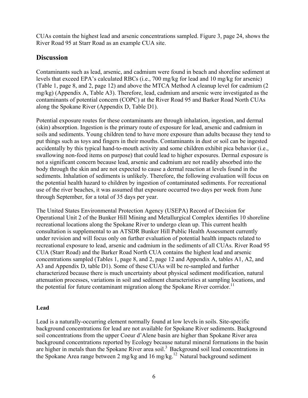CUAs contain the highest lead and arsenic concentrations sampled. Figure 3, page 24, shows the River Road 95 at Starr Road as an example CUA site.

# **Discussion**

Contaminants such as lead, arsenic, and cadmium were found in beach and shoreline sediment at levels that exceed EPA's calculated RBCs (i.e., 700 mg/kg for lead and 10 mg/kg for arsenic) (Table 1, page 8, and 2, page 12) and above the MTCA Method A cleanup level for cadmium (2 mg/kg) (Appendix A, Table A3). Therefore, lead, cadmium and arsenic were investigated as the contaminants of potential concern (COPC) at the River Road 95 and Barker Road North CUAs along the Spokane River (Appendix D, Table D1).

Potential exposure routes for these contaminants are through inhalation, ingestion, and dermal (skin) absorption. Ingestion is the primary route of exposure for lead, arsenic and cadmium in soils and sediments. Young children tend to have more exposure than adults because they tend to put things such as toys and fingers in their mouths. Contaminants in dust or soil can be ingested accidentally by this typical hand-to-mouth activity and some children exhibit pica behavior (i.e., swallowing non-food items on purpose) that could lead to higher exposures. Dermal exposure is not a significant concern because lead, arsenic and cadmium are not readily absorbed into the body through the skin and are not expected to cause a dermal reaction at levels found in the sediments. Inhalation of sediments is unlikely. Therefore, the following evaluation will focus on the potential health hazard to children by ingestion of contaminated sediments. For recreational use of the river beaches, it was assumed that exposure occurred two days per week from June through September, for a total of 35 days per year.

The United States Environmental Protection Agency (USEPA) Record of Decision for Operational Unit 2 of the Bunker Hill Mining and Metallurgical Complex identifies 10 shoreline recreational locations along the Spokane River to undergo clean up. This current health consultation is supplemental to an ATSDR Bunker Hill Public Health Assessment currently under revision and will focus only on further evaluation of potential health impacts related to recreational exposure to lead, arsenic and cadmium in the sediments of all CUAs. River Road 95 CUA (Starr Road) and the Barker Road North CUA contains the highest lead and arsenic concentrations sampled (Tables 1, page 8, and 2, page 12 and Appendix A, tables A1, A2, and A3 and Appendix D, table D1). Some of these CUAs will be re-sampled and further characterized because there is much uncertainty about physical sediment modification, natural attenuation processes, variations in soil and sediment characteristics at sampling locations, and the potential for future contaminant migration along the Spokane River corridor.<sup>11</sup>

### **Lead**

Lead is a naturally-occurring element normally found at low levels in soils. Site-specific background concentrations for lead are not available for Spokane River sediments. Background soil concentrations from the upper Coeur d'Alene basin are higher than Spokane River area background concentrations reported by Ecology because natural mineral formations in the basin are higher in metals than the Spokane River area soil.<sup>3</sup> Background soil lead concentrations in the Spokane Area range between 2 mg/kg and 16 mg/kg.<sup>12</sup> Natural background sediment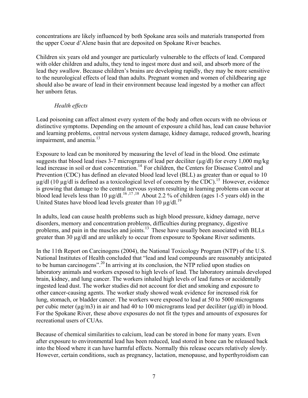concentrations are likely influenced by both Spokane area soils and materials transported from the upper Coeur d'Alene basin that are deposited on Spokane River beaches.

Children six years old and younger are particularly vulnerable to the effects of lead. Compared with older children and adults, they tend to ingest more dust and soil, and absorb more of the lead they swallow. Because children's brains are developing rapidly, they may be more sensitive to the neurological effects of lead than adults. Pregnant women and women of childbearing age should also be aware of lead in their environment because lead ingested by a mother can affect her unborn fetus.

### *Health effects*

Lead poisoning can affect almost every system of the body and often occurs with no obvious or distinctive symptoms. Depending on the amount of exposure a child has, lead can cause behavior and learning problems, central nervous system damage, kidney damage, reduced growth, hearing impairment, and anemia. $^{13}$ 

Exposure to lead can be monitored by measuring the level of lead in the blood. One estimate suggests that blood lead rises 3-7 micrograms of lead per deciliter (µg/dl) for every 1,000 mg/kg lead increase in soil or dust concentration.<sup>14</sup> For children, the Centers for Disease Control and Prevention (CDC) has defined an elevated blood lead level (BLL) as greater than or equal to 10  $\mu$ g/dl (10  $\mu$ g/dl is defined as a toxicological level of concern by the CDC).<sup>15</sup> However, evidence is growing that damage to the central nervous system resulting in learning problems can occur at blood lead levels less than 10  $\mu$ g/dl.<sup>16,17,18</sup> About 2.2 % of children (ages 1-5 years old) in the United States have blood lead levels greater than 10  $\mu$ g/dl.<sup>19</sup>

In adults, lead can cause health problems such as high blood pressure, kidney damage, nerve disorders, memory and concentration problems, difficulties during pregnancy, digestive problems, and pain in the muscles and joints.<sup>13</sup> These have usually been associated with BLLs greater than 30 µg/dl and are unlikely to occur from exposure to Spokane River sediments.

In the 11th Report on Carcinogens (2004), the National Toxicology Program (NTP) of the U.S. National Institutes of Health concluded that "lead and lead compounds are reasonably anticipated to be human carcinogens".<sup>20</sup> In arriving at its conclusion, the NTP relied upon studies on laboratory animals and workers exposed to high levels of lead. The laboratory animals developed brain, kidney, and lung cancer. The workers inhaled high levels of lead fumes or accidentally ingested lead dust. The worker studies did not account for diet and smoking and exposure to other cancer-causing agents. The worker study showed weak evidence for increased risk for lung, stomach, or bladder cancer. The workers were exposed to lead at 50 to 5000 micrograms per cubic meter ( $\mu$ g/m3) in air and had 40 to 100 micrograms lead per deciliter ( $\mu$ g/dl) in blood. For the Spokane River, these above exposures do not fit the types and amounts of exposures for recreational users of CUAs.

Because of chemical similarities to calcium, lead can be stored in bone for many years. Even after exposure to environmental lead has been reduced, lead stored in bone can be released back into the blood where it can have harmful effects. Normally this release occurs relatively slowly. However, certain conditions, such as pregnancy, lactation, menopause, and hyperthyroidism can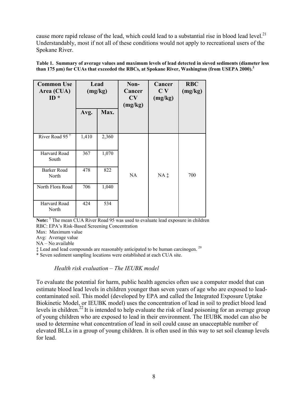cause more rapid release of the lead, which could lead to a substantial rise in blood lead level.<sup>21</sup> Understandably, most if not all of these conditions would not apply to recreational users of the Spokane River.

| <b>Common Use</b><br>Area (CUA)<br>$ID *$ | Lead<br>(mg/kg) |       | Non-<br>Cancer<br>CV<br>(mg/kg) | Cancer<br>C <sub>V</sub><br>(mg/kg) | <b>RBC</b><br>(mg/kg) |
|-------------------------------------------|-----------------|-------|---------------------------------|-------------------------------------|-----------------------|
|                                           | Avg.            | Max.  |                                 |                                     |                       |
| River Road 95 <sup>†</sup>                | 1,410           | 2,360 |                                 |                                     |                       |
| Harvard Road<br>South                     | 367             | 1,070 |                                 |                                     |                       |
| Barker Road<br>North                      | 478             | 822   | <b>NA</b>                       | $NA$ $\ddagger$                     | 700                   |
| North Flora Road                          | 706             | 1,040 |                                 |                                     |                       |
| Harvard Road<br>North                     | 424             | 534   |                                 |                                     |                       |

**Table 1. Summary of average values and maximum levels of lead detected in sieved sediments (diameter less than 175 µm) for CUAs that exceeded the RBCs, at Spokane River, Washington (from USEPA 2000).<sup>3</sup>**

**Note:** † The mean CUA River Road 95 was used to evaluate lead exposure in children RBC: EPA's Risk-Based Screening Concentration

Max: Maximum value

Avg: Average value

NA – No available

 $\ddagger$  Lead and lead compounds are reasonably anticipated to be human carcinogen.<sup>20</sup>

\* Seven sediment sampling locations were established at each CUA site.

#### *Health risk evaluation – The IEUBK model*

To evaluate the potential for harm, public health agencies often use a computer model that can estimate blood lead levels in children younger than seven years of age who are exposed to leadcontaminated soil. This model (developed by EPA and called the Integrated Exposure Uptake Biokinetic Model, or IEUBK model) uses the concentration of lead in soil to predict blood lead levels in children.<sup>22</sup> It is intended to help evaluate the risk of lead poisoning for an average group of young children who are exposed to lead in their environment. The IEUBK model can also be used to determine what concentration of lead in soil could cause an unacceptable number of elevated BLLs in a group of young children. It is often used in this way to set soil cleanup levels for lead.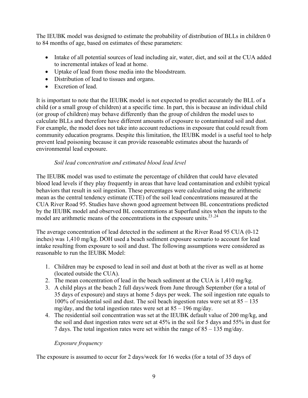The IEUBK model was designed to estimate the probability of distribution of BLLs in children 0 to 84 months of age, based on estimates of these parameters:

- Intake of all potential sources of lead including air, water, diet, and soil at the CUA added to incremental intakes of lead at home.
- Uptake of lead from those media into the bloodstream.
- Distribution of lead to tissues and organs.
- Excretion of lead.

It is important to note that the IEUBK model is not expected to predict accurately the BLL of a child (or a small group of children) at a specific time. In part, this is because an individual child (or group of children) may behave differently than the group of children the model uses to calculate BLLs and therefore have different amounts of exposure to contaminated soil and dust. For example, the model does not take into account reductions in exposure that could result from community education programs. Despite this limitation, the IEUBK model is a useful tool to help prevent lead poisoning because it can provide reasonable estimates about the hazards of environmental lead exposure.

### *Soil lead concentration and estimated blood lead level*

The IEUBK model was used to estimate the percentage of children that could have elevated blood lead levels if they play frequently in areas that have lead contamination and exhibit typical behaviors that result in soil ingestion. These percentages were calculated using the arithmetic mean as the central tendency estimate (CTE) of the soil lead concentrations measured at the CUA River Road 95. Studies have shown good agreement between BL concentrations predicted by the IEUBK model and observed BL concentrations at Superfund sites when the inputs to the model are arithmetic means of the concentrations in the exposure units.<sup>23,24</sup>

The average concentration of lead detected in the sediment at the River Road 95 CUA (0-12 inches) was 1,410 mg/kg. DOH used a beach sediment exposure scenario to account for lead intake resulting from exposure to soil and dust. The following assumptions were considered as reasonable to run the IEUBK Model:

- 1. Children may be exposed to lead in soil and dust at both at the river as well as at home (located outside the CUA).
- 2. The mean concentration of lead in the beach sediment at the CUA is 1,410 mg/kg.
- 3. A child plays at the beach 2 full days/week from June through September (for a total of 35 days of exposure) and stays at home 5 days per week. The soil ingestion rate equals to 100% of residential soil and dust. The soil beach ingestion rates were set at 85 – 135 mg/day, and the total ingestion rates were set at 85 – 196 mg/day.
- 4. The residential soil concentration was set at the IEUBK default value of 200 mg/kg, and the soil and dust ingestion rates were set at 45% in the soil for 5 days and 55% in dust for 7 days. The total ingestion rates were set within the range of 85 – 135 mg/day.

### *Exposure frequency*

The exposure is assumed to occur for 2 days/week for 16 weeks (for a total of 35 days of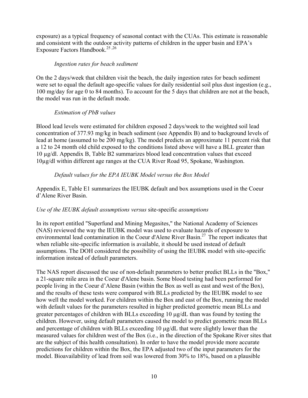exposure) as a typical frequency of seasonal contact with the CUAs. This estimate is reasonable and consistent with the outdoor activity patterns of children in the upper basin and EPA's Exposure Factors Handbook.<sup>25,26</sup>

#### *Ingestion rates for beach sediment*

On the 2 days/week that children visit the beach, the daily ingestion rates for beach sediment were set to equal the default age-specific values for daily residential soil plus dust ingestion (e.g., 100 mg/day for age 0 to 84 months). To account for the 5 days that children are not at the beach, the model was run in the default mode.

#### *Estimation of PbB values*

Blood lead levels were estimated for children exposed 2 days/week to the weighted soil lead concentration of 377.93 mg/kg in beach sediment (see Appendix B) and to background levels of lead at home (assumed to be 200 mg/kg). The model predicts an approximate 11 percent risk that a 12 to 24 month old child exposed to the conditions listed above will have a BLL greater than 10 µg/dl. Appendix B, Table B2 summarizes blood lead concentration values that exceed 10µg/dl within different age ranges at the CUA River Road 95, Spokane, Washington.

#### *Default values for the EPA IEUBK Model versus the Box Model*

Appendix E, Table E1 summarizes the IEUBK default and box assumptions used in the Coeur d'Alene River Basin.

#### *Use of the IEUBK default assumptions versus* site-specific *assumptions*

In its report entitled "Superfund and Mining Megasites," the National Academy of Sciences (NAS) reviewed the way the IEUBK model was used to evaluate hazards of exposure to environmental lead contamination in the Coeur d'Alene River Basin.<sup>27</sup> The report indicates that when reliable site-specific information is available, it should be used instead of default assumptions. The DOH considered the possibility of using the IEUBK model with site-specific information instead of default parameters.

The NAS report discussed the use of non-default parameters to better predict BLLs in the "Box," a 21-square mile area in the Coeur d'Alene basin. Some blood testing had been performed for people living in the Coeur d'Alene Basin (within the Box as well as east and west of the Box), and the results of these tests were compared with BLLs predicted by the IEUBK model to see how well the model worked. For children within the Box and east of the Box, running the model with default values for the parameters resulted in higher predicted geometric mean BLLs and greater percentages of children with BLLs exceeding 10 µg/dL than was found by testing the children. However, using default parameters caused the model to predict geometric mean BLLs and percentage of children with BLLs exceeding 10 µg/dL that were slightly lower than the measured values for children west of the Box (i.e., in the direction of the Spokane River sites that are the subject of this health consultation). In order to have the model provide more accurate predictions for children within the Box, the EPA adjusted two of the input parameters for the model. Bioavailability of lead from soil was lowered from 30% to 18%, based on a plausible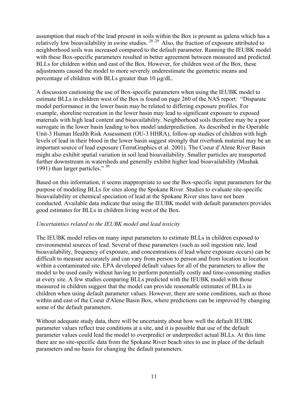assumption that much of the lead present in soils within the Box is present as galena which has a relatively low bioavailability in swine studies. <sup>28, 29</sup> Also, the fraction of exposure attributed to neighborhood soils was increased compared to the default parameter. Running the IEUBK model with these Box-specific parameters resulted in better agreement between measured and predicted BLLs for children within and east of the Box. However, for children west of the Box, these adjustments caused the model to more severely underestimate the geometric means and percentage of children with BLLs greater than 10 µg/dL.

A discussion cautioning the use of Box-specific parameters when using the IEUBK model to estimate BLLs in children west of the Box is found on page 260 of the NAS report: "Disparate model performance in the lower basin may be related to differing exposure profiles. For example, shoreline recreation in the lower basin may lead to significant exposure to exposed materials with high lead content and bioavailability. Neighborhood soils therefore may be a poor surrogate in the lower basin leading to box model underprediction. As described in the Operable Unit-3 Human Health Risk Assessment (OU-3 HHRA), follow-up studies of children with high levels of lead in their blood in the lower basin suggest strongly that riverbank material may be an important source of lead exposure (TerraGraphics et al. 2001). The Coeur d'Alene River Basin might also exhibit spatial variation in soil lead bioavailability. Smaller particles are transported further downstream in watersheds and generally exhibit higher lead bioavailability (Mushak 1991) than larger particles." <sup>30</sup>

Based on this information, it seems inappropriate to use the Box-specific input parameters for the purpose of modeling BLLs for sites along the Spokane River. Studies to evaluate site-specific bioavailability or chemical speciation of lead at the Spokane River sites have not been conducted. Available data indicate that using the IEUBK model with default parameters provides good estimates for BLLs in children living west of the Box.

#### *Uncertainties related to the IEUBK model and lead toxicity*

The IEUBK model relies on many input parameters to estimate BLLs in children exposed to environmental sources of lead. Several of these parameters (such as soil ingestion rate, lead bioavailability, frequency of exposure, and concentrations of lead where exposure occurs) can be difficult to measure accurately and can vary from person to person and from location to location within a contaminated site. EPA developed default values for all of the parameters to allow the model to be used easily without having to perform potentially costly and time-consuming studies at every site. A few studies comparing BLLs predicted with the IEUBK model with those measured in children suggest that the model can provide reasonable estimates of BLLs in children when using default parameter values. However, there are some conditions, such as those within and east of the Coeur d'Alene Basin Box, where predictions can be improved by changing some of the default parameters.

Without adequate study data, there will be uncertainty about how well the default IEUBK parameter values reflect true conditions at a site, and it is possible that use of the default parameter values could lead the model to overpredict or underpredict actual BLLs. At this time there are no site-specific data from the Spokane River beach sites to use in place of the default parameters and no basis for changing the default parameters.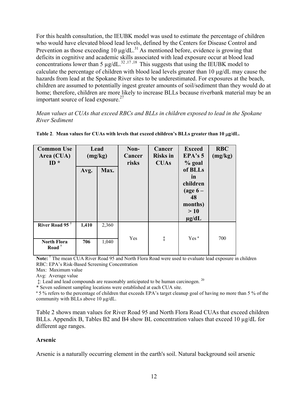For this health consultation, the IEUBK model was used to estimate the percentage of children who would have elevated blood lead levels, defined by the Centers for Disease Control and Prevention as those exceeding 10  $\mu$ g/dL.<sup>31</sup> As mentioned before, evidence is growing that deficits in cognitive and academic skills associated with lead exposure occur at blood lead concentrations lower than 5  $\mu$ g/dL.<sup>32,17,18</sup> This suggests that using the IEUBK model to calculate the percentage of children with blood lead levels greater than 10 µg/dL may cause the hazards from lead at the Spokane River sites to be underestimated. For exposures at the beach, children are assumed to potentially ingest greater amounts of soil/sediment than they would do at home; therefore, children are more likely to increase BLLs because riverbank material may be an important source of lead exposure. $27$ 

*Mean values at CUAs that exceed RBCs and BLLs in children exposed to lead in the Spokane River Sediment* 

| <b>Common Use</b><br>Area (CUA)<br>ID $*$            | Lead<br>Avg. | (mg/kg)<br>Max. | Non-<br>Cancer<br>risks | Cancer<br><b>Risks</b> in<br><b>CUAs</b> | <b>Exceed</b><br>EPA's 5<br>$%$ goal<br>of BLLs<br>in<br>children<br>(age $6-$<br>48<br>months)<br>>10<br>$\mu$ g/dL | <b>RBC</b><br>(mg/kg) |
|------------------------------------------------------|--------------|-----------------|-------------------------|------------------------------------------|----------------------------------------------------------------------------------------------------------------------|-----------------------|
| River Road 95 $^{\dagger}$                           | 1,410        | 2,360           |                         |                                          | Yes <sup>a</sup>                                                                                                     |                       |
| <b>North Flora</b><br>Road <sup><math>†</math></sup> | 706          | 1,040           | Yes                     | ţ                                        |                                                                                                                      | 700                   |

Table 2. Mean values for CUAs with levels that exceed children's BLLs greater than 10  $\mu$ g/dL.

Note: <sup>†</sup> The mean CUA River Road 95 and North Flora Road were used to evaluate lead exposure in children RBC: EPA's Risk-Based Screening Concentration

Max: Maximum value

Avg: Average value

 $\ddagger$ : Lead and lead compounds are reasonably anticipated to be human carcinogen.  $^{20}$ 

\* Seven sediment sampling locations were established at each CUA site.

<sup>a</sup> 5 % refers to the percentage of children that exceeds EPA's target cleanup goal of having no more than 5 % of the community with BLLs above 10 µg/dL.

Table 2 shows mean values for River Road 95 and North Flora Road CUAs that exceed children BLLs. Appendix B, Tables B2 and B4 show BL concentration values that exceed 10  $\mu$ g/dL for different age ranges.

#### **Arsenic**

Arsenic is a naturally occurring element in the earth's soil. Natural background soil arsenic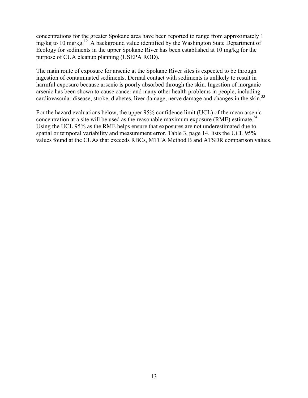concentrations for the greater Spokane area have been reported to range from approximately 1 mg/kg to 10 mg/kg.12 A background value identified by the Washington State Department of Ecology for sediments in the upper Spokane River has been established at 10 mg/kg for the purpose of CUA cleanup planning (USEPA ROD).

The main route of exposure for arsenic at the Spokane River sites is expected to be through ingestion of contaminated sediments. Dermal contact with sediments is unlikely to result in harmful exposure because arsenic is poorly absorbed through the skin. Ingestion of inorganic arsenic has been shown to cause cancer and many other health problems in people, including cardiovascular disease, stroke, diabetes, liver damage, nerve damage and changes in the skin.<sup>33</sup>

For the hazard evaluations below, the upper 95% confidence limit (UCL) of the mean arsenic concentration at a site will be used as the reasonable maximum exposure  $(RME)$  estimate.<sup>34</sup> Using the UCL 95% as the RME helps ensure that exposures are not underestimated due to spatial or temporal variability and measurement error. Table 3, page 14, lists the UCL 95% values found at the CUAs that exceeds RBCs, MTCA Method B and ATSDR comparison values.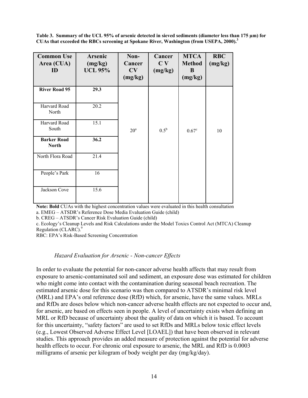**Table 3. Summary of the UCL 95% of arsenic detected in sieved sediments (diameter less than 175 µm) for CUAs that exceeded the RBCs screening at Spokane River, Washington (from USEPA, 2000).3** 

| <b>Common Use</b><br>Area (CUA)<br>ID | <b>Arsenic</b><br>(mg/kg)<br><b>UCL 95%</b> | Non-<br>Cancer<br>CV<br>(mg/kg) | Cancer<br>C <sub>V</sub><br>(mg/kg) | <b>MTCA</b><br><b>Method</b><br>B<br>(mg/kg) | <b>RBC</b><br>(mg/kg) |
|---------------------------------------|---------------------------------------------|---------------------------------|-------------------------------------|----------------------------------------------|-----------------------|
| <b>River Road 95</b>                  | 29.3                                        |                                 |                                     |                                              |                       |
| Harvard Road<br>North                 | 20.2                                        |                                 |                                     |                                              |                       |
| Harvard Road<br>South                 | 15.1                                        | $20^{\circ}$                    | $0.5^{\rm b}$                       | $0.67^{\circ}$                               | 10                    |
| <b>Barker Road</b><br><b>North</b>    | 36.2                                        |                                 |                                     |                                              |                       |
| North Flora Road                      | 21.4                                        |                                 |                                     |                                              |                       |
| People's Park                         | 16                                          |                                 |                                     |                                              |                       |
| Jackson Cove                          | 15.6                                        |                                 |                                     |                                              |                       |

**Note: Bold** CUAs with the highest concentration values were evaluated in this health consultation a. EMEG – ATSDR's Reference Dose Media Evaluation Guide (child)

b. CREG – ATSDR's Cancer Risk Evaluation Guide (child)

c. Ecology's Cleanup Levels and Risk Calculations under the Model Toxics Control Act (MTCA) Cleanup Regulation (CLARC).<sup>9</sup>

RBC: EPA's Risk-Based Screening Concentration

#### *Hazard Evaluation for Arsenic - Non*-*cancer Effects*

In order to evaluate the potential for non-cancer adverse health affects that may result from exposure to arsenic-contaminated soil and sediment, an exposure dose was estimated for children who might come into contact with the contamination during seasonal beach recreation. The estimated arsenic dose for this scenario was then compared to ATSDR's minimal risk level (MRL) and EPA's oral reference dose (RfD) which, for arsenic, have the same values. MRLs and RfDs are doses below which non-cancer adverse health effects are not expected to occur and, for arsenic, are based on effects seen in people. A level of uncertainty exists when defining an MRL or RfD because of uncertainty about the quality of data on which it is based. To account for this uncertainty, "safety factors" are used to set RfDs and MRLs below toxic effect levels (e.g., Lowest Observed Adverse Effect Level [LOAEL]) that have been observed in relevant studies. This approach provides an added measure of protection against the potential for adverse health effects to occur. For chronic oral exposure to arsenic, the MRL and RfD is 0.0003 milligrams of arsenic per kilogram of body weight per day (mg/kg/day).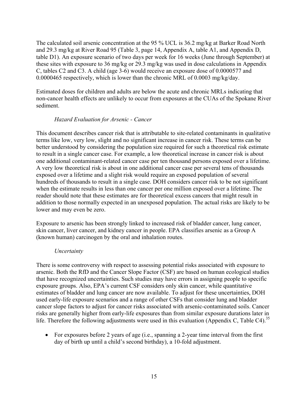The calculated soil arsenic concentration at the 95 % UCL is 36.2 mg/kg at Barker Road North and 29.3 mg/kg at River Road 95 (Table 3, page 14, Appendix A, table A1, and Appendix D, table D1). An exposure scenario of two days per week for 16 weeks (June through September) at these sites with exposure to 36 mg/kg or 29.3 mg/kg was used in dose calculations in Appendix C, tables C2 and C3. A child (age 3-6) would receive an exposure dose of 0.0000577 and 0.0000465 respectively, which is lower than the chronic MRL of 0.0003 mg/kg/day.

Estimated doses for children and adults are below the acute and chronic MRLs indicating that non-cancer health effects are unlikely to occur from exposures at the CUAs of the Spokane River sediment.

#### *Hazard Evaluation for Arsenic - Cancer*

This document describes cancer risk that is attributable to site-related contaminants in qualitative terms like low, very low, slight and no significant increase in cancer risk. These terms can be better understood by considering the population size required for such a theoretical risk estimate to result in a single cancer case. For example, a low theoretical increase in cancer risk is about one additional contaminant-related cancer case per ten thousand persons exposed over a lifetime. A very low theoretical risk is about in one additional cancer case per several tens of thousands exposed over a lifetime and a slight risk would require an exposed population of several hundreds of thousands to result in a single case. DOH considers cancer risk to be not significant when the estimate results in less than one cancer per one million exposed over a lifetime. The reader should note that these estimates are for theoretical excess cancers that might result in addition to those normally expected in an unexposed population. The actual risks are likely to be lower and may even be zero.

Exposure to arsenic has been strongly linked to increased risk of bladder cancer, lung cancer, skin cancer, liver cancer, and kidney cancer in people. EPA classifies arsenic as a Group A (known human) carcinogen by the oral and inhalation routes.

#### *Uncertainty*

There is some controversy with respect to assessing potential risks associated with exposure to arsenic. Both the RfD and the Cancer Slope Factor (CSF) are based on human ecological studies that have recognized uncertainties. Such studies may have errors in assigning people to specific exposure groups. Also, EPA's current CSF considers only skin cancer, while quantitative estimates of bladder and lung cancer are now available. To adjust for these uncertainties, DOH used early-life exposure scenarios and a range of other CSFs that consider lung and bladder cancer slope factors to adjust for cancer risks associated with arsenic-contaminated soils. Cancer risks are generally higher from early-life exposures than from similar exposure durations later in life. Therefore the following adjustments were used in this evaluation (Appendix C, Table C4).<sup>35</sup>

• For exposures before 2 years of age (i.e., spanning a 2-year time interval from the first day of birth up until a child's second birthday), a 10-fold adjustment.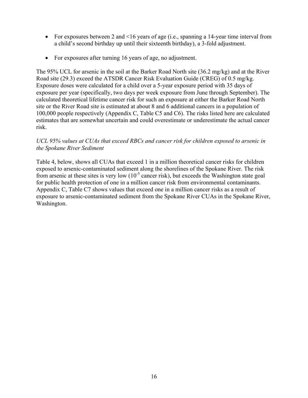- For exposures between 2 and <16 years of age (i.e., spanning a 14-year time interval from a child's second birthday up until their sixteenth birthday), a 3-fold adjustment.
- For exposures after turning 16 years of age, no adjustment.

The 95% UCL for arsenic in the soil at the Barker Road North site (36.2 mg/kg) and at the River Road site (29.3) exceed the ATSDR Cancer Risk Evaluation Guide (CREG) of 0.5 mg/kg. Exposure doses were calculated for a child over a 5-year exposure period with 35 days of exposure per year (specifically, two days per week exposure from June through September). The calculated theoretical lifetime cancer risk for such an exposure at either the Barker Road North site or the River Road site is estimated at about 8 and 6 additional cancers in a population of 100,000 people respectively (Appendix C, Table C5 and C6). The risks listed here are calculated estimates that are somewhat uncertain and could overestimate or underestimate the actual cancer risk.

#### *UCL 95% values at CUAs that exceed RBCs and cancer risk for children exposed to arsenic in the Spokane River Sediment*

Table 4, below, shows all CUAs that exceed 1 in a million theoretical cancer risks for children exposed to arsenic-contaminated sediment along the shorelines of the Spokane River. The risk from arsenic at these sites is very low  $(10^{-5}$  cancer risk), but exceeds the Washington state goal for public health protection of one in a million cancer risk from environmental contaminants. Appendix C, Table C7 shows values that exceed one in a million cancer risks as a result of exposure to arsenic-contaminated sediment from the Spokane River CUAs in the Spokane River, Washington.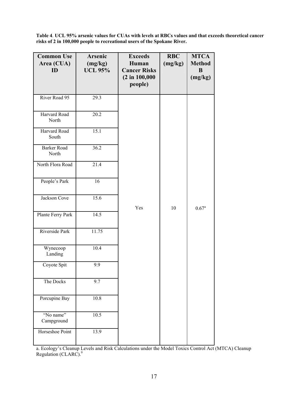**Table 4**. **UCL 95% arsenic values for CUAs with levels at RBCs values and that exceeds theoretical cancer risks of 2 in 100,000 people to recreational users of the Spokane River.** 

| <b>Common Use</b><br>Area (CUA)<br>ID | Arsenic<br>(mg/kg)<br><b>UCL 95%</b> | <b>Exceeds</b><br>Human<br><b>Cancer Risks</b><br>$(2 \text{ in } 100,000)$<br>people) | <b>RBC</b><br>(mg/kg) | <b>MTCA</b><br><b>Method</b><br>B<br>(mg/kg) |
|---------------------------------------|--------------------------------------|----------------------------------------------------------------------------------------|-----------------------|----------------------------------------------|
| River Road 95                         | 29.3                                 |                                                                                        |                       |                                              |
| Harvard Road<br>North                 | 20.2                                 |                                                                                        |                       |                                              |
| Harvard Road<br>South                 | 15.1                                 |                                                                                        |                       |                                              |
| <b>Barker Road</b><br>North           | 36.2                                 |                                                                                        |                       |                                              |
| North Flora Road                      | 21.4                                 |                                                                                        |                       |                                              |
| People's Park                         | 16                                   |                                                                                        |                       |                                              |
| Jackson Cove                          | 15.6                                 | Yes                                                                                    | 10                    | $0.67^{\rm a}$                               |
| Plante Ferry Park                     | 14.5                                 |                                                                                        |                       |                                              |
| Riverside Park                        | 11.75                                |                                                                                        |                       |                                              |
| Wynecoop<br>Landing                   | 10.4                                 |                                                                                        |                       |                                              |
| Coyote Spit                           | 9.9                                  |                                                                                        |                       |                                              |
| The Docks                             | 9.7                                  |                                                                                        |                       |                                              |
| Porcupine Bay                         | 10.8                                 |                                                                                        |                       |                                              |
| "No name"<br>Campground               | 10.5                                 |                                                                                        |                       |                                              |
| Horseshoe Point                       | 13.9                                 |                                                                                        |                       |                                              |

a. Ecology's Cleanup Levels and Risk Calculations under the Model Toxics Control Act (MTCA) Cleanup Regulation (CLARC). $9$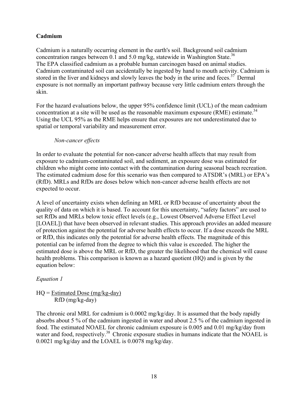#### **Cadmium**

Cadmium is a naturally occurring element in the earth's soil. Background soil cadmium concentration ranges between 0.1 and 5.0 mg/kg, statewide in Washington State.<sup>36</sup> The EPA classified cadmium as a probable human carcinogen based on animal studies. Cadmium contaminated soil can accidentally be ingested by hand to mouth activity. Cadmium is stored in the liver and kidneys and slowly leaves the body in the urine and feces.<sup>37</sup> Dermal exposure is not normally an important pathway because very little cadmium enters through the skin.

For the hazard evaluations below, the upper 95% confidence limit (UCL) of the mean cadmium concentration at a site will be used as the reasonable maximum exposure  $(RME)$  estimate.<sup>34</sup> Using the UCL 95% as the RME helps ensure that exposures are not underestimated due to spatial or temporal variability and measurement error.

#### *Non-cancer effects*

In order to evaluate the potential for non-cancer adverse health affects that may result from exposure to cadmium-contaminated soil, and sediment, an exposure dose was estimated for children who might come into contact with the contamination during seasonal beach recreation. The estimated cadmium dose for this scenario was then compared to ATSDR's (MRL) or EPA's (RfD). MRLs and RfDs are doses below which non-cancer adverse health effects are not expected to occur.

A level of uncertainty exists when defining an MRL or RfD because of uncertainty about the quality of data on which it is based. To account for this uncertainty, "safety factors" are used to set RfDs and MRLs below toxic effect levels (e.g., Lowest Observed Adverse Effect Level [LOAEL]) that have been observed in relevant studies. This approach provides an added measure of protection against the potential for adverse health effects to occur. If a dose exceeds the MRL or RfD, this indicates only the potential for adverse health effects. The magnitude of this potential can be inferred from the degree to which this value is exceeded. The higher the estimated dose is above the MRL or RfD, the greater the likelihood that the chemical will cause health problems. This comparison is known as a hazard quotient (HQ) and is given by the equation below:

#### *Equation 1*

 $HQ = Estimated$  Dose (mg/kg-day) RfD (mg/kg-day)

The chronic oral MRL for cadmium is 0.0002 mg/kg/day. It is assumed that the body rapidly absorbs about 5 % of the cadmium ingested in water and about 2.5 % of the cadmium ingested in food. The estimated NOAEL for chronic cadmium exposure is 0.005 and 0.01 mg/kg/day from water and food, respectively.<sup>38</sup> Chronic exposure studies in humans indicate that the NOAEL is 0.0021 mg/kg/day and the LOAEL is 0.0078 mg/kg/day.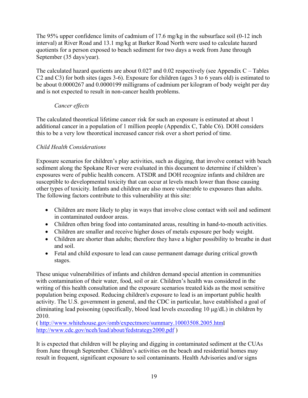The 95% upper confidence limits of cadmium of 17.6 mg/kg in the subsurface soil (0-12 inch interval) at River Road and 13.1 mg/kg at Barker Road North were used to calculate hazard quotients for a person exposed to beach sediment for two days a week from June through September (35 days/year).

The calculated hazard quotients are about  $0.027$  and  $0.02$  respectively (see Appendix C – Tables C2 and C3) for both sites (ages 3-6). Exposure for children (ages 3 to 6 years old) is estimated to be about 0.0000267 and 0.0000199 milligrams of cadmium per kilogram of body weight per day and is not expected to result in non-cancer health problems.

#### *Cancer effects*

The calculated theoretical lifetime cancer risk for such an exposure is estimated at about 1 additional cancer in a population of 1 million people (Appendix C, Table C6). DOH considers this to be a very low theoretical increased cancer risk over a short period of time.

### *Child Health Considerations*

Exposure scenarios for children's play activities, such as digging, that involve contact with beach sediment along the Spokane River were evaluated in this document to determine if children's exposures were of public health concern. ATSDR and DOH recognize infants and children are susceptible to developmental toxicity that can occur at levels much lower than those causing other types of toxicity. Infants and children are also more vulnerable to exposures than adults. The following factors contribute to this vulnerability at this site:

- Children are more likely to play in ways that involve close contact with soil and sediment in contaminated outdoor areas.
- Children often bring food into contaminated areas, resulting in hand-to-mouth activities.
- Children are smaller and receive higher doses of metals exposure per body weight.
- Children are shorter than adults; therefore they have a higher possibility to breathe in dust and soil.
- Fetal and child exposure to lead can cause permanent damage during critical growth stages.

These unique vulnerabilities of infants and children demand special attention in communities with contamination of their water, food, soil or air. Children's health was considered in the writing of this health consultation and the exposure scenarios treated kids as the most sensitive population being exposed. Reducing children's exposure to lead is an important public health activity. The U.S. government in general, and the CDC in particular, have established a goal of eliminating lead poisoning (specifically, blood lead levels exceeding 10 µg/dL) in children by 2010.

( http://www.whitehouse.gov/omb/expectmore/summary.10003508.2005.html http://www.cdc.gov/nceh/lead/about/fedstrategy2000.pdf )

It is expected that children will be playing and digging in contaminated sediment at the CUAs from June through September. Children's activities on the beach and residential homes may result in frequent, significant exposure to soil contaminants. Health Advisories and/or signs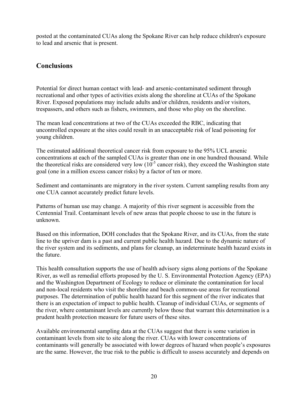posted at the contaminated CUAs along the Spokane River can help reduce children's exposure to lead and arsenic that is present.

# **Conclusions**

Potential for direct human contact with lead- and arsenic-contaminated sediment through recreational and other types of activities exists along the shoreline at CUAs of the Spokane River. Exposed populations may include adults and/or children, residents and/or visitors, trespassers, and others such as fishers, swimmers, and those who play on the shoreline.

The mean lead concentrations at two of the CUAs exceeded the RBC, indicating that uncontrolled exposure at the sites could result in an unacceptable risk of lead poisoning for young children.

The estimated additional theoretical cancer risk from exposure to the 95% UCL arsenic concentrations at each of the sampled CUAs is greater than one in one hundred thousand. While the theoretical risks are considered very low  $(10^{-5}$  cancer risk), they exceed the Washington state goal (one in a million excess cancer risks) by a factor of ten or more.

Sediment and contaminants are migratory in the river system. Current sampling results from any one CUA cannot accurately predict future levels.

Patterns of human use may change. A majority of this river segment is accessible from the Centennial Trail. Contaminant levels of new areas that people choose to use in the future is unknown.

Based on this information, DOH concludes that the Spokane River, and its CUAs, from the state line to the upriver dam is a past and current public health hazard. Due to the dynamic nature of the river system and its sediments, and plans for cleanup, an indeterminate health hazard exists in the future.

This health consultation supports the use of health advisory signs along portions of the Spokane River, as well as remedial efforts proposed by the U. S. Environmental Protection Agency (EPA) and the Washington Department of Ecology to reduce or eliminate the contamination for local and non-local residents who visit the shoreline and beach common-use areas for recreational purposes. The determination of public health hazard for this segment of the river indicates that there is an expectation of impact to public health. Cleanup of individual CUAs, or segments of the river, where contaminant levels are currently below those that warrant this determination is a prudent health protection measure for future users of these sites.

Available environmental sampling data at the CUAs suggest that there is some variation in contaminant levels from site to site along the river. CUAs with lower concentrations of contaminants will generally be associated with lower degrees of hazard when people's exposures are the same. However, the true risk to the public is difficult to assess accurately and depends on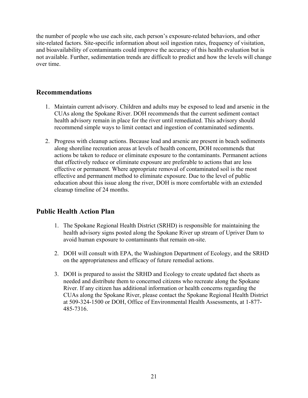the number of people who use each site, each person's exposure-related behaviors, and other site-related factors. Site-specific information about soil ingestion rates, frequency of visitation, and bioavailability of contaminants could improve the accuracy of this health evaluation but is not available. Further, sedimentation trends are difficult to predict and how the levels will change over time.

# **Recommendations**

- 1. Maintain current advisory. Children and adults may be exposed to lead and arsenic in the CUAs along the Spokane River. DOH recommends that the current sediment contact health advisory remain in place for the river until remediated. This advisory should recommend simple ways to limit contact and ingestion of contaminated sediments.
- 2. Progress with cleanup actions. Because lead and arsenic are present in beach sediments along shoreline recreation areas at levels of health concern, DOH recommends that actions be taken to reduce or eliminate exposure to the contaminants. Permanent actions that effectively reduce or eliminate exposure are preferable to actions that are less effective or permanent. Where appropriate removal of contaminated soil is the most effective and permanent method to eliminate exposure. Due to the level of public education about this issue along the river, DOH is more comfortable with an extended cleanup timeline of 24 months.

# **Public Health Action Plan**

- 1. The Spokane Regional Health District (SRHD) is responsible for maintaining the health advisory signs posted along the Spokane River up stream of Upriver Dam to avoid human exposure to contaminants that remain on-site.
- 2. DOH will consult with EPA, the Washington Department of Ecology, and the SRHD on the appropriateness and efficacy of future remedial actions.
- 3. DOH is prepared to assist the SRHD and Ecology to create updated fact sheets as needed and distribute them to concerned citizens who recreate along the Spokane River. If any citizen has additional information or health concerns regarding the CUAs along the Spokane River, please contact the Spokane Regional Health District at 509-324-1500 or DOH, Office of Environmental Health Assessments, at 1-877- 485-7316.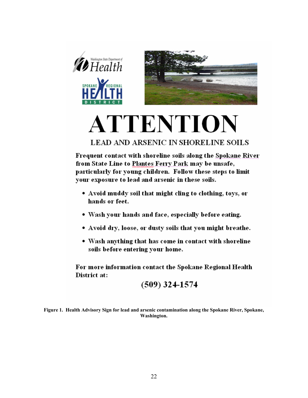

# **ATTENTION**

# **LEAD AND ARSENIC IN SHORELINE SOILS**

Frequent contact with shoreline soils along the Spokane River from State Line to Plantes Ferry Park may be unsafe, particularly for young children. Follow these steps to limit your exposure to lead and arsenic in these soils.

- Avoid muddy soil that might cling to clothing, toys, or hands or feet.
- Wash your hands and face, especially before eating.
- Avoid dry, loose, or dusty soils that you might breathe.
- Wash anything that has come in contact with shoreline soils before entering your home.

For more information contact the Spokane Regional Health District at:

 $(509)$  324-1574

**Figure 1. Health Advisory Sign for lead and arsenic contamination along the Spokane River, Spokane, Washington.**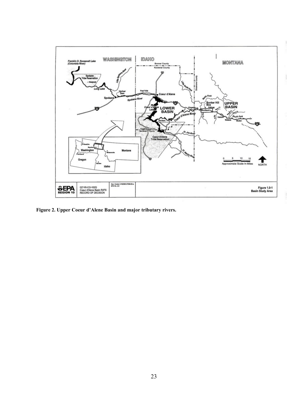

**Figure 2. Upper Coeur d'Alene Basin and major tributary rivers.**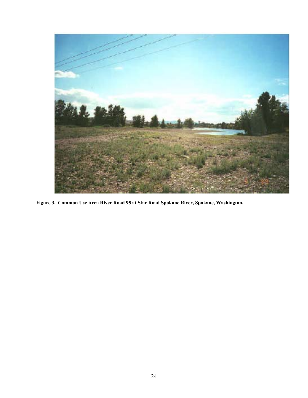

**Figure 3. Common Use Area River Road 95 at Star Road Spokane River, Spokane, Washington.**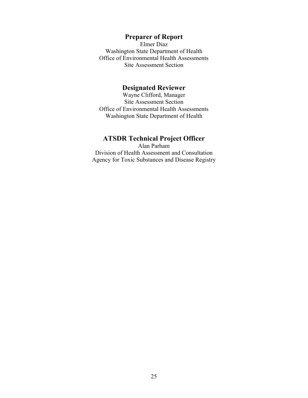# **Preparer of Report**

Elmer Diaz Washington State Department of Health Office of Environmental Health Assessments Site Assessment Section

### **Designated Reviewer**

Wayne Clifford, Manager Site Assessment Section Office of Environmental Health Assessments Washington State Department of Health

# **ATSDR Technical Project Officer**

Alan Parham Division of Health Assessment and Consultation Agency for Toxic Substances and Disease Registry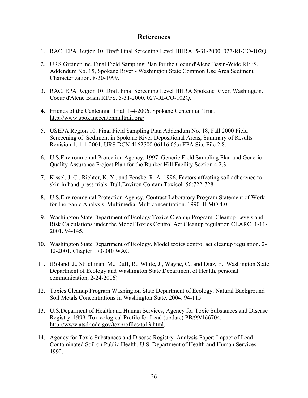# **References**

- 1. RAC, EPA Region 10. Draft Final Screening Level HHRA. 5-31-2000. 027-RI-CO-102Q.
- 2. URS Greiner Inc. Final Field Sampling Plan for the Coeur d'Alene Basin-Wide RI/FS, Addendum No. 15, Spokane River - Washington State Common Use Area Sediment Characterization. 8-30-1999.
- 3. RAC, EPA Region 10. Draft Final Screening Level HHRA Spokane River, Washington. Coeur d'Alene Basin RI/FS. 5-31-2000. 027-RI-CO-102Q.
- 4. Friends of the Centennial Trial. 1-4-2006. Spokane Centennial Trial. http://www.spokanecentennialtrail.org/
- 5. USEPA Region 10. Final Field Sampling Plan Addendum No. 18, Fall 2000 Field Screeening of Sediment in Spokane River Depositional Areas, Summary of Results Revision 1. 1-1-2001. URS DCN 4162500.06116.05.a EPA Site File 2.8.
- 6. U.S.Environmental Protection Agency. 1997. Generic Field Sampling Plan and Generic Quality Assurance Project Plan for the Bunker Hill Facility.Section 4.2.3.-
- 7. Kissel, J. C., Richter, K. Y., and Fenske, R. A. 1996. Factors affecting soil adherence to skin in hand-press trials. Bull.Environ Contam Toxicol. 56:722-728.
- 8. U.S.Environmental Protection Agency. Contract Laboratory Program Statement of Work for Inorganic Analysis, Multimedia, Multiconcentration. 1990. ILMO 4.0.
- 9. Washington State Department of Ecology Toxics Cleanup Program. Cleanup Levels and Risk Calculations under the Model Toxics Control Act Cleanup regulation CLARC. 1-11- 2001. 94-145.
- 10. Washington State Department of Ecology. Model toxics control act cleanup regulation. 2- 12-2001. Chapter 173-340 WAC.
- 11. (Roland, J., Stifellman, M., Duff, R., White, J., Wayne, C., and Diaz, E., Washington State Department of Ecology and Washington State Department of Health, personal communication, 2-24-2006)
- 12. Toxics Cleanup Program Washington State Department of Ecology. Natural Background Soil Metals Concentrations in Washington State. 2004. 94-115.
- 13. U.S.Deparment of Health and Human Services, Agency for Toxic Substances and Disease Registry. 1999. Toxicological Profile for Lead (update) PB/99/166704. http://www.atsdr.cdc.gov/toxprofiles/tp13.html.
- 14. Agency for Toxic Substances and Disease Registry. Analysis Paper: Impact of Lead-Contaminated Soil on Public Health. U.S. Department of Health and Human Services. 1992.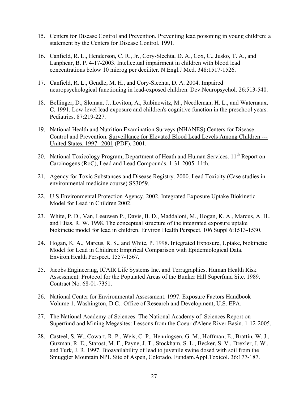- 15. Centers for Disease Control and Prevention. Preventing lead poisoning in young children: a statement by the Centers for Disease Control. 1991.
- 16. Canfield, R. L., Henderson, C. R., Jr., Cory-Slechta, D. A., Cox, C., Jusko, T. A., and Lanphear, B. P. 4-17-2003. Intellectual impairment in children with blood lead concentrations below 10 microg per deciliter. N.Engl.J Med. 348:1517-1526.
- 17. Canfield, R. L., Gendle, M. H., and Cory-Slechta, D. A. 2004. Impaired neuropsychological functioning in lead-exposed children. Dev.Neuropsychol. 26:513-540.
- 18. Bellinger, D., Sloman, J., Leviton, A., Rabinowitz, M., Needleman, H. L., and Waternaux, C. 1991. Low-level lead exposure and children's cognitive function in the preschool years. Pediatrics. 87:219-227.
- 19. National Health and Nutrition Examination Surveys (NHANES) Centers for Disease Control and Prevention. Surveillance for Elevated Blood Lead Levels Among Children --- United States, 1997--2001 (PDF). 2001.
- 20. National Toxicology Program, Department of Heath and Human Services. 11<sup>th</sup> Report on Carcinogens (RoC), Lead and Lead Compounds. 1-31-2005. 11th.
- 21. Agency for Toxic Substances and Disease Registry. 2000. Lead Toxicity (Case studies in environmental medicine course) SS3059.
- 22. U.S.Environmental Protection Agency. 2002. Integrated Exposure Uptake Biokinetic Model for Lead in Children 2002.
- 23. White, P. D., Van, Leeuwen P., Davis, B. D., Maddaloni, M., Hogan, K. A., Marcus, A. H., and Elias, R. W. 1998. The conceptual structure of the integrated exposure uptake biokinetic model for lead in children. Environ Health Perspect. 106 Suppl 6:1513-1530.
- 24. Hogan, K. A., Marcus, R. S., and White, P. 1998. Integrated Exposure, Uptake, biokinetic Model for Lead in Children: Empirical Comparison with Epidemiological Data. Environ.Health Perspect. 1557-1567.
- 25. Jacobs Engineering, ICAIR Life Systems Inc. and Terragraphics. Human Health Risk Assessment: Protocol for the Populated Areas of the Bunker Hill Superfund Site. 1989. Contract No. 68-01-7351.
- 26. National Center for Environmental Assessment. 1997. Exposure Factors Handbook Volume 1. Washington, D.C.: Office of Research and Development, U.S. EPA.
- 27. The National Academy of Sciences. The National Academy of Sciences Report on Superfund and Mining Megasites: Lessons from the Coeur d'Alene River Basin. 1-12-2005.
- 28. Casteel, S. W., Cowart, R. P., Weis, C. P., Henningsen, G. M., Hoffman, E., Brattin, W. J., Guzman, R. E., Starost, M. F., Payne, J. T., Stockham, S. L., Becker, S. V., Drexler, J. W., and Turk, J. R. 1997. Bioavailability of lead to juvenile swine dosed with soil from the Smuggler Mountain NPL Site of Aspen, Colorado. Fundam.Appl.Toxicol. 36:177-187.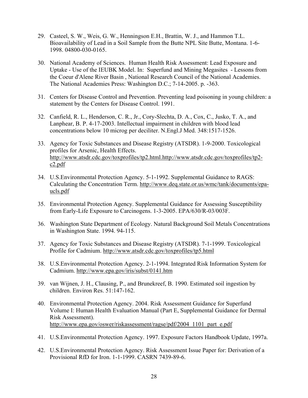- 29. Casteel, S. W., Weis, G. W., Henningson E.H., Brattin, W. J., and Hammon T.L. Bioavailability of Lead in a Soil Sample from the Butte NPL Site Butte, Montana. 1-6- 1998. 04800-030-0165.
- 30. National Academy of Sciences. Human Health Risk Assessment: Lead Exposure and Uptake - Use of the IEUBK Model. In: Superfund and Mining Megasites - Lessons from the Coeur d'Alene River Basin , National Research Council of the National Academies. The National Academies Press: Washington D.C.; 7-14-2005. p. -363.
- 31. Centers for Disease Control and Prevention. Preventing lead poisoning in young children: a statement by the Centers for Disease Control. 1991.
- 32. Canfield, R. L., Henderson, C. R., Jr., Cory-Slechta, D. A., Cox, C., Jusko, T. A., and Lanphear, B. P. 4-17-2003. Intellectual impairment in children with blood lead concentrations below 10 microg per deciliter. N.Engl.J Med. 348:1517-1526.
- 33. Agency for Toxic Substances and Disease Registry (ATSDR). 1-9-2000. Toxicological profiles for Arsenic, Health Effects. http://www.atsdr.cdc.gov/toxprofiles/tp2.html.http://www.atsdr.cdc.gov/toxprofiles/tp2 c2.pdf
- 34. U.S.Environmental Protection Agency. 5-1-1992. Supplemental Guidance to RAGS: Calculating the Concentration Term. http://www.deq.state.or.us/wmc/tank/documents/epaucls.pdf
- 35. Environmental Protection Agency. Supplemental Guidance for Assessing Susceptibility from Early-Life Exposure to Carcinogens. 1-3-2005. EPA/630/R-03/003F.
- 36. Washington State Department of Ecology. Natural Background Soil Metals Concentrations in Washington State. 1994. 94-115.
- 37. Agency for Toxic Substances and Disease Registry (ATSDR). 7-1-1999. Toxicological Profile for Cadmium. http://www.atsdr.cdc.gov/toxprofiles/tp5.html
- 38. U.S.Environmental Protection Agency. 2-1-1994. Integrated Risk Information System for Cadmium. http://www.epa.gov/iris/subst/0141.htm
- 39. van Wijnen, J. H., Clausing, P., and Brunekreef, B. 1990. Estimated soil ingestion by children. Environ Res. 51:147-162.
- 40. Environmental Protection Agency. 2004. Risk Assessment Guidance for Superfund Volume I: Human Health Evaluation Manual (Part E, Supplemental Guidance for Dermal Risk Assessment). http://www.epa.gov/oswer/riskassessment/ragse/pdf/2004\_1101\_part\_e.pdf
- 41. U.S.Environmental Protection Agency. 1997. Exposure Factors Handbook Update, 1997a.
- 42. U.S.Environmental Protection Agency. Risk Assessment Issue Paper for: Derivation of a Provisional RfD for Iron. 1-1-1999. CASRN 7439-89-6.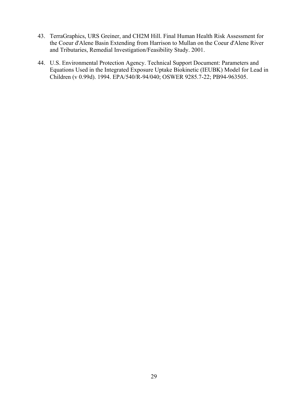- 43. TerraGraphics, URS Greiner, and CH2M Hill. Final Human Health Risk Assessment for the Coeur d'Alene Basin Extending from Harrison to Mullan on the Coeur d'Alene River and Tributaries, Remedial Investigation/Feasibility Study. 2001.
- 44. U.S. Environmental Protection Agency. Technical Support Document: Parameters and Equations Used in the Integrated Exposure Uptake Biokinetic (IEUBK) Model for Lead in Children (v 0.99d). 1994. EPA/540/R-94/040; OSWER 9285.7-22; PB94-963505.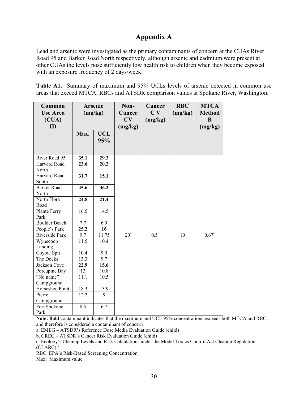# **Appendix A**

Lead and arsenic were investigated as the primary contaminants of concern at the CUAs River Road 95 and Barker Road North respectively, although arsenic and cadmium were present at other CUAs the levels pose sufficiently low health risk to children when they become exposed with an exposure frequency of 2 days/week.

**Table A1.** Summary of maximum and 95% UCLs levels of arsenic detected in common use areas that exceed MTCA, RBCs and ATSDR comparison values at Spokane River, Washington.

| Common<br><b>Use Area</b><br>(CUA)<br>ID | <b>Arsenic</b><br>(mg/kg) |                   | Non-<br>Cancer<br>CV<br>(mg/kg) | Cancer<br>C <sub>V</sub><br>(mg/kg) | <b>RBC</b><br>(mg/kg) | <b>MTCA</b><br><b>Method</b><br>B<br>(mg/kg) |
|------------------------------------------|---------------------------|-------------------|---------------------------------|-------------------------------------|-----------------------|----------------------------------------------|
|                                          | Max.                      | <b>UCL</b><br>95% |                                 |                                     |                       |                                              |
| River Road 95                            | 35.1                      | 29.3              |                                 |                                     |                       |                                              |
| Harvard Road<br>North                    | 23.6                      | 20.2              |                                 |                                     |                       |                                              |
| Harvard Road<br>South                    | 31.7                      | 15.1              |                                 |                                     |                       |                                              |
| <b>Barker Road</b><br>North              | 45.6                      | 36.2              |                                 |                                     |                       |                                              |
| North Flora<br>Road                      | 24.8                      | 21.4              |                                 |                                     |                       |                                              |
| Plante Ferry<br>Park                     | 16.5                      | 14.5              |                                 |                                     |                       |                                              |
| <b>Boulder Beach</b>                     | 7.7                       | 6.9               |                                 |                                     |                       |                                              |
| People's Park                            | 25.2                      | 16                |                                 |                                     |                       |                                              |
| Riverside Park                           | 9.7                       | 11.75             | 20 <sup>a</sup>                 | $0.5^{\rm b}$                       | 10                    | $0.67^{\circ}$                               |
| Wynecoop<br>Landing                      | 11.5                      | 10.4              |                                 |                                     |                       |                                              |
| Coyote Spit                              | 10.4                      | 9.9               |                                 |                                     |                       |                                              |
| The Docks                                | 13.3                      | 9.7               |                                 |                                     |                       |                                              |
| Jackson Cove                             | 22.9                      | 15.6              |                                 |                                     |                       |                                              |
| Porcupine Bay                            | 13                        | 10.8              |                                 |                                     |                       |                                              |
| "No name"<br>Campground                  | 11.1                      | 10.5              |                                 |                                     |                       |                                              |
| Horseshoe Point                          | 18.3                      | 13.9              |                                 |                                     |                       |                                              |
| Pierre<br>Campground                     | 12.2                      | 9                 |                                 |                                     |                       |                                              |
| Fort Spokane<br>Park                     | 8.5                       | 6.7               |                                 |                                     |                       |                                              |

**Note: Bold** contaminant indicates that the maximum and UCL 95% concentrations exceeds both MTCA and RBC and therefore is considered a contaminant of concern

a. EMEG – ATSDR's Reference Dose Media Evaluation Guide (child)

b. CREG – ATSDR's Cancer Risk Evaluation Guide (child)

c. Ecology's Cleanup Levels and Risk Calculations under the Model Toxics Control Act Cleanup Regulation  $(CLARC).<sup>9</sup>$ 

RBC: EPA's Risk-Based Screening Concentration

Max: Maximum value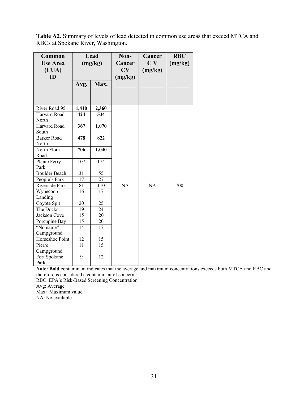**Table A2.** Summary of levels of lead detected in common use areas that exceed MTCA and RBCs at Spokane River, Washington.

| Common<br><b>Use Area</b><br>(CUA)<br><b>ID</b> | Lead<br>(mg/kg) |                 | Non-<br>Cancer<br>CV<br>(mg/kg) | Cancer<br>C <sub>V</sub><br>(mg/kg) | <b>RBC</b><br>(mg/kg) |
|-------------------------------------------------|-----------------|-----------------|---------------------------------|-------------------------------------|-----------------------|
|                                                 | Avg.            | Max.            |                                 |                                     |                       |
| River Road 95                                   | 1,410           | 2,360           |                                 |                                     |                       |
| Harvard Road<br>North                           | 424             | 534             |                                 |                                     |                       |
| Harvard Road<br>South                           | 367             | 1,070           |                                 |                                     |                       |
| <b>Barker Road</b><br>North                     | 478             | 822             |                                 |                                     |                       |
| North Flora<br>Road                             | 706             | 1,040           |                                 |                                     |                       |
| Plante Ferry<br>Park                            | 107             | 174             |                                 |                                     |                       |
| <b>Boulder Beach</b>                            | 31              | $\overline{55}$ |                                 |                                     |                       |
| People's Park                                   | 17              | 27              |                                 |                                     |                       |
| Riverside Park                                  | 81              | $110\,$         | NA                              | NA                                  | 700                   |
| Wynecoop<br>Landing                             | 16              | 17              |                                 |                                     |                       |
| Coyote Spit                                     | 20              | 25              |                                 |                                     |                       |
| The Docks                                       | 19              | 24              |                                 |                                     |                       |
| Jackson Cove                                    | 15              | 20              |                                 |                                     |                       |
| Porcupine Bay                                   | 15              | 20              |                                 |                                     |                       |
| "No name"<br>Campground                         | 14              | 17              |                                 |                                     |                       |
| Horseshoe Point                                 | 12              | 15              |                                 |                                     |                       |
| Pierre<br>Campground                            | 11              | 15              |                                 |                                     |                       |
| Fort Spokane<br>Park                            | $\overline{9}$  | $\overline{12}$ |                                 |                                     |                       |

**Note: Bold** contaminant indicates that the average and maximum concentrations exceeds both MTCA and RBC and therefore is considered a contaminant of concern

RBC: EPA's Risk-Based Screening Concentration

Avg: Average

Max: Maximum value

NA: No available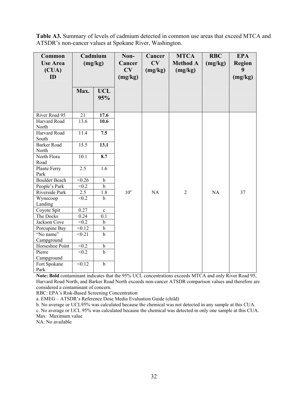| Table A3. Summary of levels of cadmium detected in common use areas that exceed MTCA and |
|------------------------------------------------------------------------------------------|
| ATSDR's non-cancer values at Spokane River, Washington.                                  |

| Common<br><b>Use Area</b><br>$\overline{\text{CUA}}$<br>ID |                  | Cadmium<br>(mg/kg) | Non-<br>Cancer<br>CV<br>(mg/kg) | Cancer<br>CV<br>(mg/kg) | <b>MTCA</b><br><b>Method A</b><br>(mg/kg) | <b>RBC</b><br>(mg/kg) | <b>EPA</b><br><b>Region</b><br>9<br>(mg/kg) |
|------------------------------------------------------------|------------------|--------------------|---------------------------------|-------------------------|-------------------------------------------|-----------------------|---------------------------------------------|
|                                                            | Max.             | <b>UCL</b><br>95%  |                                 |                         |                                           |                       |                                             |
| River Road 95                                              | 21               | 17.6               |                                 |                         |                                           |                       |                                             |
| Harvard Road<br>North                                      | 13.6             | 10.6               |                                 |                         |                                           |                       |                                             |
| Harvard Road<br>South                                      | 11.4             | 7.5                |                                 |                         |                                           |                       |                                             |
| <b>Barker Road</b><br>North                                | 15.5             | 13.1               |                                 |                         |                                           |                       |                                             |
| North Flora<br>Road                                        | 10.1             | $\overline{8.7}$   |                                 |                         |                                           |                       |                                             |
| Plante Ferry<br>Park                                       | $\overline{2.5}$ | 1.6                |                                 |                         |                                           |                       |                                             |
| <b>Boulder</b> Beach                                       | < 0.26           | $\mathbf b$        |                                 |                         |                                           |                       |                                             |
| People's Park                                              | < 0.2            | $\mathbf b$        |                                 |                         |                                           |                       |                                             |
| Riverside Park                                             | 2.5              | 1.8                | $10^a$                          | NA                      | $\overline{2}$                            | NA                    | 37                                          |
| Wynecoop<br>Landing                                        | < 0.2            | $\mathbf b$        |                                 |                         |                                           |                       |                                             |
| Coyote Spit                                                | 0.27             | $\mathbf c$        |                                 |                         |                                           |                       |                                             |
| The Docks                                                  | 0.24             | 0.1                |                                 |                         |                                           |                       |                                             |
| Jackson Cove                                               | < 0.2            | $\mathbf b$        |                                 |                         |                                           |                       |                                             |
| Porcupine Bay                                              | < 0.12           | $\mathbf b$        |                                 |                         |                                           |                       |                                             |
| "No name"                                                  | < 0.21           | $\mathbf b$        |                                 |                         |                                           |                       |                                             |
| Campground                                                 |                  |                    |                                 |                         |                                           |                       |                                             |
| Horseshoe Point                                            | < 0.2            | $\mathbf b$        |                                 |                         |                                           |                       |                                             |
| Pierre<br>Campground                                       | < 0.2            | $\mathbf b$        |                                 |                         |                                           |                       |                                             |
| Fort Spokane<br>Park                                       | < 0.12           | $\mathbf b$        |                                 |                         |                                           |                       |                                             |

**Note: Bold** contaminant indicates that the 95% UCL concentrations exceeds MTCA and only River Road 95, Harvard Road North, and Barker Road North exceeds non-cancer ATSDR comparison values and therefore are considered a contaminant of concern.

RBC: EPA's Risk-Based Screening Concentration

a. EMEG – ATSDR's Reference Dose Media Evaluation Guide (child)

b. No average or UCL95% was calculated because the chemical was not detected in any sample at this CUA.

c. No average or UCL 95% was calculated because the chemical was detected in only one sample at this CUA. Max: Maximum value

NA: No available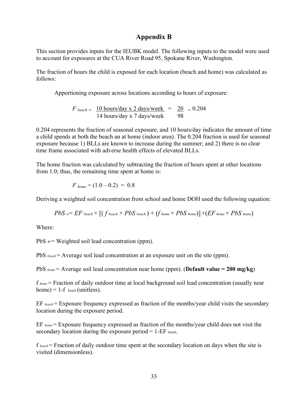# **Appendix B**

This section provides inputs for the IEUBK model. The following inputs to the model were used to account for exposures at the CUA River Road 95, Spokane River, Washington.

The fraction of hours the child is exposed for each location (beach and home) was calculated as follows:

Apportioning exposure across locations according to hours of exposure:

*F* beach =  $\frac{10 \text{ hours/day} \times 2 \text{ days/week}}{14 \text{ hours/day} \times 7 \text{ days/week}} = \frac{20}{98} = 0.204$ 14 hours/day x 7 days/week

0.204 represents the fraction of seasonal exposure, and 10 hours/day indicates the amount of time a child spends at both the beach an at home (indoor area). The 0.204 fraction is used for seasonal exposure because 1) BLLs are known to increase during the summer; and 2) there is no clear time frame associated with adverse health effects of elevated BLLs.

The home fraction was calculated by subtracting the fraction of hours spent at other locations from 1.0; thus, the remaining time spent at home is:

$$
F_{home} = (1.0 - 0.2) = 0.8
$$

Deriving a weighted soil concentration from school and home DOH used the following equation:

$$
PbSw=EFbeach \times [(fbeach \times PbSbeach) + (fhome \times PbShome)]+(EFhome \times PbShome)
$$

Where:

PbS  $w =$  Weighted soil lead concentration (ppm).

PbS *beach* = Average soil lead concentration at an exposure unit on the site (ppm).

PbS *home* = Average soil lead concentration near home (ppm). (**Default value = 200 mg/kg**)

f *home* = Fraction of daily outdoor time at local background soil lead concentration (usually near  $home) = 1-f_{beach} (unitless).$ 

EF *beach* = Exposure frequency expressed as fraction of the months/year child visits the secondary location during the exposure period.

EF *home* = Exposure frequency expressed as fraction of the months/year child does not visit the secondary location during the exposure period  $= 1$ -EF beach.

f *beach* = Fraction of daily outdoor time spent at the secondary location on days when the site is visited (dimensionless).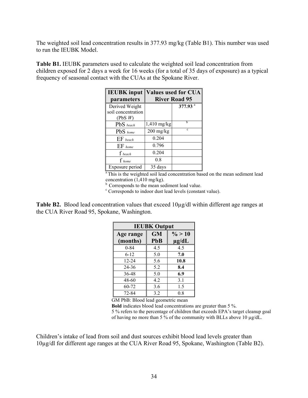The weighted soil lead concentration results in 377.93 mg/kg (Table B1). This number was used to run the IEUBK Model.

**Table B1.** IEUBK parameters used to calculate the weighted soil lead concentration from children exposed for 2 days a week for 16 weeks (for a total of 35 days of exposure) as a typical frequency of seasonal contact with the CUAs at the Spokane River.

| <b>IEUBK</b> input |             | <b>Values used for CUA</b> |
|--------------------|-------------|----------------------------|
| parameters         |             | <b>River Road 95</b>       |
| Derived Weight     |             | 377.93 <sup>a</sup>        |
| soil concentration |             |                            |
| (PbS W)            |             |                            |
| PbS beach          | 1,410 mg/kg | h                          |
| PbS home           | $200$ mg/kg | c                          |
| $EF$ beach         | 0.204       |                            |
| $EF$ home          | 0.796       |                            |
| $\int$ beach       | 0.204       |                            |
| f home             | 0.8         |                            |
| Exposure period    | 35 days     |                            |

<sup>a</sup>This is the weighted soil lead concentration based on the mean sediment lead concentration (1,410 mg/kg).

<sup>b</sup> Corresponds to the mean sediment lead value.

c Corresponds to indoor dust lead levels (constant value).

**Table B2.** Blood lead concentration values that exceed 10µg/dl within different age ranges at the CUA River Road 95, Spokane, Washington.

| <b>IEUBK Output</b> |            |            |  |  |  |
|---------------------|------------|------------|--|--|--|
| Age range           | <b>GM</b>  | $\% > 10$  |  |  |  |
| (months)            | <b>PbB</b> | $\mu$ g/dL |  |  |  |
| $0 - 84$            | 4.5        | 4.5        |  |  |  |
| $6 - 12$            | 5.0        | 7.0        |  |  |  |
| $12 - 24$           | 5.6        | 10.8       |  |  |  |
| 24-36               | 5.2        | 8.4        |  |  |  |
| 36-48               | 5.0        | 6.9        |  |  |  |
| 48-60               | 4.2        | 3.1        |  |  |  |
| 60-72               | 3.6        | 1.5        |  |  |  |
| 72-84               | 3.2        | 0.8        |  |  |  |

GM PbB: Blood lead geometric mean

**Bold** indicates blood lead concentrations are greater than 5 %.

5 % refers to the percentage of children that exceeds EPA's target cleanup goal of having no more than 5 % of the community with BLLs above 10 µg/dL.

Children's intake of lead from soil and dust sources exhibit blood lead levels greater than 10µg/dl for different age ranges at the CUA River Road 95, Spokane, Washington (Table B2).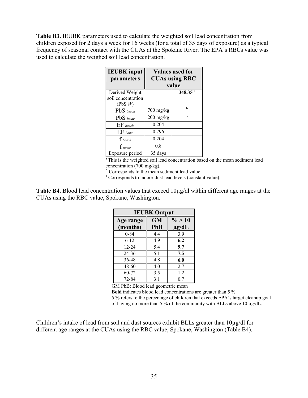**Table B3.** IEUBK parameters used to calculate the weighted soil lead concentration from children exposed for 2 days a week for 16 weeks (for a total of 35 days of exposure) as a typical frequency of seasonal contact with the CUAs at the Spokane River. The EPA's RBCs value was used to calculate the weighed soil lead concentration.

| <b>IEUBK</b> input<br>parameters                | <b>Values used for</b><br><b>CUAs using RBC</b><br>value |               |  |  |  |
|-------------------------------------------------|----------------------------------------------------------|---------------|--|--|--|
|                                                 |                                                          |               |  |  |  |
| Derived Weight<br>soil concentration<br>(PbS W) |                                                          | 348.35 $^{a}$ |  |  |  |
| PbS beach                                       | 700 mg/kg                                                | h             |  |  |  |
| $PbS$ home                                      | $200$ mg/kg                                              | c             |  |  |  |
| $EF$ beach                                      | 0.204                                                    |               |  |  |  |
| $EF$ home                                       | 0.796                                                    |               |  |  |  |
| $f_{\textit{ beach}}$                           | 0.204                                                    |               |  |  |  |
| $f_{home}$                                      | 0.8                                                      |               |  |  |  |
| Exposure period                                 | 35 days                                                  |               |  |  |  |

<sup>a</sup>This is the weighted soil lead concentration based on the mean sediment lead concentration (700 mg/kg).

<sup>b</sup> Corresponds to the mean sediment lead value.

<sup>c</sup> Corresponds to indoor dust lead levels (constant value).

**Table B4.** Blood lead concentration values that exceed 10µg/dl within different age ranges at the CUAs using the RBC value, Spokane, Washington.

| <b>IEUBK Output</b> |            |            |  |  |  |  |  |  |
|---------------------|------------|------------|--|--|--|--|--|--|
| Age range           | <b>GM</b>  | $\% > 10$  |  |  |  |  |  |  |
| (months)            | <b>PbB</b> | $\mu$ g/dL |  |  |  |  |  |  |
| $0 - 84$            | 4.4        | 3.9        |  |  |  |  |  |  |
| $6 - 12$            | 49         | 6.2        |  |  |  |  |  |  |
| $12 - 24$           | 5.4        | 9.7        |  |  |  |  |  |  |
| 24-36               | 5.1        | 7.5        |  |  |  |  |  |  |
| 36-48               | 4.8        | 6.0        |  |  |  |  |  |  |
| 48-60               | 4.0        | 2.7        |  |  |  |  |  |  |
| 60-72               | 3.5        | 12         |  |  |  |  |  |  |
| 72-84               | 3.1        | 0.7        |  |  |  |  |  |  |

GM PbB: Blood lead geometric mean

**Bold** indicates blood lead concentrations are greater than 5 %.

5 % refers to the percentage of children that exceeds EPA's target cleanup goal of having no more than 5 % of the community with BLLs above 10 µg/dL.

Children's intake of lead from soil and dust sources exhibit BLLs greater than 10µg/dl for different age ranges at the CUAs using the RBC value, Spokane, Washington (Table B4).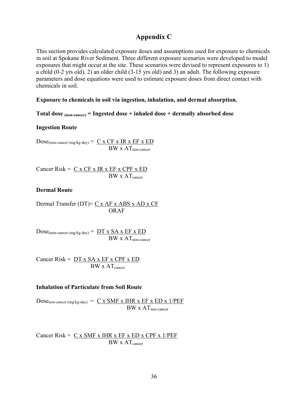# **Appendix C**

This section provides calculated exposure doses and assumptions used for exposure to chemicals in soil at Spokane River Sediment. Three different exposure scenarios were developed to model exposures that might occur at the site. These scenarios were devised to represent exposures to 1) a child (0-2 yrs old), 2) an older child (3-15 yrs old) and 3) an adult. The following exposure parameters and dose equations were used to estimate exposure doses from direct contact with chemicals in soil.

#### **Exposure to chemicals in soil via ingestion, inhalation, and dermal absorption.**

**Total dose (non-cancer) = Ingested dose + inhaled dose + dermally absorbed dose** 

#### **Ingestion Route**

 $Dose_{(non-cancer (mg/kg-day))} = C \times CF \times IR \times EF \times ED$  $BW \times AT_{non-cancer}$ 

Cancer Risk =  $C x CF x IR x EF x CPF x ED$  $BW \times AT_{cancer}$ 

#### **Dermal Route**

Dermal Transfer (DT)=  $C x AF x ABS x AD x CF$ ORAF

 $Dose_{(non\text{-}cancer (mg/kg-day)} = DT x SA x EF x ED$  $BW \times AT_{non-cancer}$ 

Cancer Risk =  $DT x SA x EF x CPF x ED$  $BW \times AT_{\text{cancer}}$ 

#### **Inhalation of Particulate from Soil Route**

Dose<sub>non-cancer (mg/kg-day)</sub> =  $C \times SMF \times IHR \times EF \times ED \times 1/PEF$  $BW \times AT$ <sub>non-cancer</sub>

Cancer Risk =  $C x$  SMF x IHR x EF x ED x CPF x 1/PEF  $BW \times AT_{cancer}$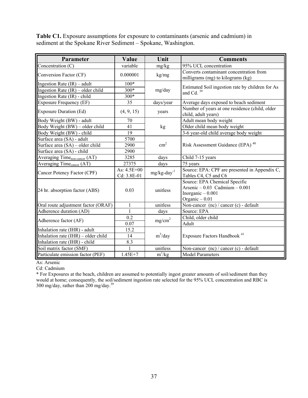**Table C1.** Exposure assumptions for exposure to contaminants (arsenic and cadmium) in sediment at the Spokane River Sediment – Spokane, Washington.

| Value                      | Unit                                     | <b>Comments</b>                                                                                            |
|----------------------------|------------------------------------------|------------------------------------------------------------------------------------------------------------|
| variable                   | mg/kg                                    | 95% UCL concentration                                                                                      |
| 0.000001                   | kg/mg                                    | Converts contaminant concentration from<br>milligrams (mg) to kilograms (kg)                               |
| $100*$                     |                                          |                                                                                                            |
| 300*                       | mg/day                                   | Estimated Soil ingestion rate by children for As<br>and Cd. $39$                                           |
| 300*                       |                                          |                                                                                                            |
| 35                         | days/year                                | Average days exposed to beach sediment                                                                     |
| (4, 9, 15)                 | years                                    | Number of years at one residence (child, older<br>child, adult years)                                      |
| 70                         |                                          | Adult mean body weight                                                                                     |
| 41                         | kg                                       | Older child mean body weight                                                                               |
| 19                         |                                          | 3-6 year-old child average body weight                                                                     |
| 5700                       |                                          |                                                                                                            |
| 2900                       |                                          | Risk Assessment Guidance (EPA) <sup>40</sup>                                                               |
| 2900                       |                                          |                                                                                                            |
| 3285                       | days                                     | Child 7-15 years                                                                                           |
| 27375                      | days                                     | 75 years                                                                                                   |
| As: 4.5E+00<br>Cd: 3.8E-01 | $mg/kg$ -day <sup>-1</sup>               | Source: EPA: CPF are presented in Appendix C,<br>Tables C4, C5 and C6                                      |
| 0.03                       | unitless                                 | Source: EPA Chemical Specific<br>Arsenic $-0.03$ Cadmium $-0.001$<br>Inorganic $-0.001$<br>Organic $-0.01$ |
| $\mathbf{1}$               | unitless                                 | Non-cancer (nc) / cancer (c) - default                                                                     |
| $\mathbf{1}$               | days                                     | Source: EPA                                                                                                |
| 0.2                        | mg/cm <sup>2</sup>                       | Child, older child<br>Adult                                                                                |
|                            |                                          |                                                                                                            |
|                            |                                          | Exposure Factors Handbook <sup>41</sup>                                                                    |
|                            |                                          |                                                                                                            |
|                            |                                          | Non-cancer $(nc)$ / cancer $(c)$ - default                                                                 |
|                            |                                          | <b>Model Parameters</b>                                                                                    |
|                            | 0.07<br>15.2<br>14<br>8.3<br>$1.45E + 7$ | $\text{cm}^2$<br>$m^3$ /day<br>unitless<br>$m^3/kg$                                                        |

As: Arsenic

Cd: Cadmium

\* For Exposures at the beach, children are assumed to potentially ingest greater amounts of soil/sediment than they would at home; consequently, the soil/sediment ingestion rate selected for the 95% UCL concentration and RBC is 300 mg/day, rather than 200 mg/day.39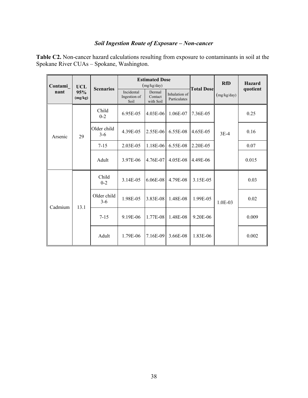# *Soil Ingestion Route of Exposure – Non-cancer*

**Table C2.** Non-cancer hazard calculations resulting from exposure to contaminants in soil at the Spokane River CUAs – Spokane, Washington.

| Contami        | <b>UCL</b>       | <b>Scenarios</b>     |                                    | <b>Estimated Dose</b><br>(mg/kg/day) |                               | <b>Total Dose</b> | <b>RfD</b>  | <b>Hazard</b> |
|----------------|------------------|----------------------|------------------------------------|--------------------------------------|-------------------------------|-------------------|-------------|---------------|
| nant           | 95%<br>(mg/kg)   |                      | Incidental<br>Ingestion of<br>Soil | Dermal<br>Contact<br>with Soil       | Inhalation of<br>Particulates |                   | (mg/kg/day) | quotient      |
| 29<br>Arsenic  | Child<br>$0 - 2$ | 6.95E-05             | 4.03E-06                           | 1.06E-07                             | 7.36E-05                      |                   | 0.25        |               |
|                |                  | Older child<br>$3-6$ | 4.39E-05                           | 2.55E-06                             | 6.55E-08                      | 4.65E-05          | $3E-4$      | 0.16          |
|                |                  | $7 - 15$             | 2.03E-05                           | 1.18E-06                             | 6.55E-08                      | 2.20E-05          |             | 0.07          |
|                |                  | Adult                | 3.97E-06                           | 4.76E-07                             | 4.05E-08                      | 4.49E-06          |             | 0.015         |
| Cadmium<br>131 |                  | Child<br>$0 - 2$     | 3.14E-05                           | 6.06E-08                             | 4.79E-08                      | 3.15E-05          |             | 0.03          |
|                |                  | Older child<br>$3-6$ | 1.98E-05                           | 3.83E-08                             | 1.48E-08                      | 1.99E-05          | $1.0E-03$   | 0.02          |
|                |                  | $7 - 15$             | 9.19E-06                           | 1.77E-08                             | 1.48E-08                      | 9.20E-06          |             | 0.009         |
|                |                  | Adult                | 1.79E-06                           | 7.16E-09                             | 3.66E-08                      | 1.83E-06          |             | 0.002         |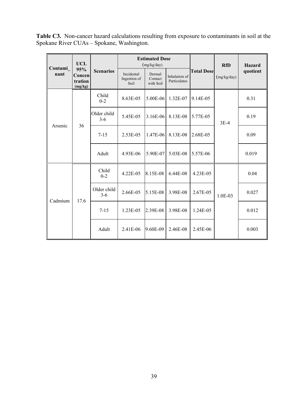**Table C3.** Non-cancer hazard calculations resulting from exposure to contaminants in soil at the Spokane River CUAs – Spokane, Washington.

| Contami         | <b>UCL</b>                          |                        |                                    | <b>Estimated Dose</b><br>(mg/kg/day) |                               |                   | <b>RfD</b>  | Hazard   |
|-----------------|-------------------------------------|------------------------|------------------------------------|--------------------------------------|-------------------------------|-------------------|-------------|----------|
| nant            | 95%<br>Concen<br>tration<br>(mg/kg) | <b>Scenarios</b>       | Incidental<br>Ingestion of<br>Soil | Dermal<br>Contact<br>with Soil       | Inhalation of<br>Particulates | <b>Total Dose</b> | (mg/kg/day) | quotient |
| 36<br>Arsenic   | Child<br>$0 - 2$                    | 8.63E-05               | 5.00E-06                           | 1.32E-07                             | 9.14E-05                      |                   | 0.31        |          |
|                 | Older child<br>$3-6$                | 5.45E-05               | 3.16E-06                           | 8.13E-08                             | 5.77E-05                      | $3E-4$            | 0.19        |          |
|                 |                                     | $7 - 15$               | 2.53E-05                           | 1.47E-06                             | 8.13E-08                      | 2.68E-05          |             | 0.09     |
|                 |                                     | Adult                  | 4.93E-06                           | 5.90E-07                             | 5.03E-08                      | 5.57E-06          |             | 0.019    |
|                 |                                     | Child<br>$0 - 2$       | 4.22E-05                           | 8.15E-08                             | 6.44E-08                      | 4.23E-05          |             | 0.04     |
| Cadmium<br>17.6 |                                     | Older child<br>$3 - 6$ | 2.66E-05                           | 5.15E-08                             | 3.98E-08                      | 2.67E-05          | 1.0E-03     | 0.027    |
|                 |                                     | $7 - 15$               | 1.23E-05                           | 2.39E-08                             | 3.98E-08                      | 1.24E-05          |             | 0.012    |
|                 |                                     | Adult                  | 2.41E-06                           | 9.60E-09                             | 2.46E-08                      | 2.45E-06          |             | 0.003    |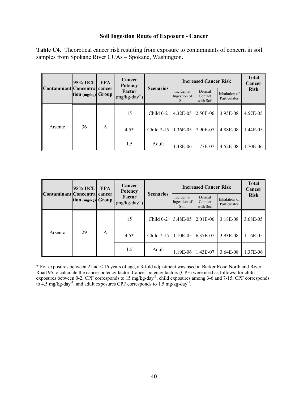#### **Soil Ingestion Route of Exposure - Cancer**

**Table C4**. Theoretical cancer risk resulting from exposure to contaminants of concern in soil samples from Spokane River CUAs – Spokane, Washington.

| 95% UCL<br>Contaminant Concentra cancer<br>tion $(mg/kg)$ Group |    | <b>EPA</b>                   | Cancer<br><b>Potency</b> |                                    | <b>Increased Cancer Risk</b>   |                               |             | <b>Total</b><br>Cancer |
|-----------------------------------------------------------------|----|------------------------------|--------------------------|------------------------------------|--------------------------------|-------------------------------|-------------|------------------------|
|                                                                 |    | Factor<br>$(mg/kg-day^{-1})$ | <b>Scenarios</b>         | Incidental<br>Ingestion of<br>Soil | Dermal<br>Contact<br>with Soil | Inhalation of<br>Particulates | <b>Risk</b> |                        |
| Arsenic                                                         |    |                              | 15                       | Child $0-2$                        | 4.32E-05                       | 2.50E-06                      | 3.95E-08    | 4.57E-05               |
|                                                                 | 36 | A                            | $4.5*$                   | Child $7-15$                       | 1.36E-05                       | 7.90E-07                      | 4.88E-08    | 1.44E-05               |
|                                                                 |    |                              | 1.5                      | Adult                              | 1.48E-06                       | 1.77E-07                      | 4.52E-08    | 1.70E-06               |

| Contaminant Concentral cancer<br>tion $(mg/kg)$ Group | <b>95% UCL</b> | EPA                          | Cancer<br><b>Potency</b> | <b>Scenarios</b>                   | <b>Increased Cancer Risk</b>   |                               |             | <b>Total</b><br>Cancer |
|-------------------------------------------------------|----------------|------------------------------|--------------------------|------------------------------------|--------------------------------|-------------------------------|-------------|------------------------|
|                                                       |                | Factor<br>$(mg/kg-day^{-1})$ |                          | Incidental<br>Ingestion of<br>Soil | Dermal<br>Contact<br>with Soil | Inhalation of<br>Particulates | <b>Risk</b> |                        |
| Arsenic                                               |                | A                            | 15                       | $Child 0-2$                        | 3.48E-05                       | 2.01E-06                      | 3.18E-08    | 3.68E-05               |
|                                                       | 29             |                              | $4.5*$                   | Child 7-15                         | 1.10E-05                       | 6.37E-07                      | 3.93E-08    | 1.16E-05               |
|                                                       |                |                              | 1.5                      | Adult                              | 1.19E-06                       | 1.43E-07                      | $3.64E-08$  | 1.37E-06               |

**\*** For exposures between 2 and < 16 years of age, a 3-fold adjustment was used at Barker Road North and River Road 95 to calculate the cancer potency factor. Cancer potency factors (CPF) were used as follows: for child exposures between 0-2, CPF corresponds to 15 mg/kg-day<sup>-1</sup>, child exposures among 3-6 and 7-15, CPF corresponds to  $4.5$  mg/kg-day<sup>-1</sup>, and adult exposures CPF corresponds to  $1.5$  mg/kg-day<sup>-1</sup>.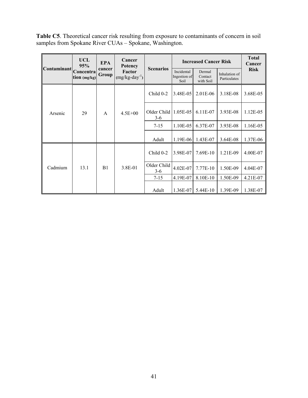**Table C5**. Theoretical cancer risk resulting from exposure to contaminants of concern in soil samples from Spokane River CUAs – Spokane, Washington.

|                                 | UCL<br>95%                                                                   | <b>EPA</b>       | Cancer<br>Potency                  |                                | <b>Increased Cancer Risk</b>  | <b>Total</b><br>Cancer |          |          |
|---------------------------------|------------------------------------------------------------------------------|------------------|------------------------------------|--------------------------------|-------------------------------|------------------------|----------|----------|
| <b>Contaminant</b>              | cancer<br>Concentra<br>Factor<br>Group<br>$(mg/kg-day^{-1})$<br>tion (mg/kg) | <b>Scenarios</b> | Incidental<br>Ingestion of<br>Soil | Dermal<br>Contact<br>with Soil | Inhalation of<br>Particulates | <b>Risk</b>            |          |          |
| 29<br>$\overline{A}$<br>Arsenic |                                                                              |                  | $Child 0-2$                        | 3.48E-05                       | $2.01E-06$                    | 3.18E-08               | 3.68E-05 |          |
|                                 |                                                                              |                  | $4.5E + 00$                        | Older Child<br>$3-6$           | $1.05E-05$                    | 6.11E-07               | 3.93E-08 | 1.12E-05 |
|                                 |                                                                              |                  |                                    | $7 - 15$                       | 1.10E-05                      | 6.37E-07               | 3.93E-08 | 1.16E-05 |
|                                 |                                                                              |                  |                                    | Adult                          | $1.19E-06$                    | 1.43E-07               | 3.64E-08 | 1.37E-06 |
|                                 |                                                                              |                  |                                    | Child 0-2                      | 3.98E-07                      | 7.69E-10               | 1.21E-09 | 4.00E-07 |
| Cadmium                         | 13.1                                                                         | B1               | 3.8E-01                            | Older Child<br>$3-6$           | 4.02E-07                      | 7.77E-10               | 1.50E-09 | 4.04E-07 |
|                                 |                                                                              |                  |                                    | $7 - 15$                       | 4.19E-07                      | 8.10E-10               | 1.50E-09 | 4.21E-07 |
|                                 |                                                                              |                  |                                    | Adult                          | 1.36E-07                      | 5.44E-10               | 1.39E-09 | 1.38E-07 |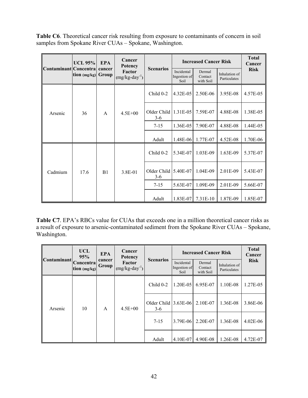**Table C6**. Theoretical cancer risk resulting from exposure to contaminants of concern in soil samples from Spokane River CUAs – Spokane, Washington.

|                              | UCL $95\%$     | <b>EPA</b><br>Group             | Cancer<br><b>Potency</b><br>Factor<br>$(mg/kg-day^{-1})$ |                                | <b>Increased Cancer Risk</b>       |                                |                               | <b>Total</b><br>Cancer |
|------------------------------|----------------|---------------------------------|----------------------------------------------------------|--------------------------------|------------------------------------|--------------------------------|-------------------------------|------------------------|
| Contaminant Concentra cancer | tion $(mg/kg)$ |                                 |                                                          | <b>Scenarios</b>               | Incidental<br>Ingestion of<br>Soil | Dermal<br>Contact<br>with Soil | Inhalation of<br>Particulates | <b>Risk</b>            |
|                              |                |                                 |                                                          | Child 0-2                      | 4.32E-05                           | 2.50E-06                       | 3.95E-08                      | 4.57E-05               |
| 36<br>Arsenic<br>A           | $4.5E + 00$    | Older Child $1.31E-05$<br>$3-6$ |                                                          | 7.59E-07                       | 4.88E-08                           | 1.38E-05                       |                               |                        |
|                              |                |                                 |                                                          | $7 - 15$                       | 1.36E-05                           | 7.90E-07                       | 4.88E-08                      | 1.44E-05               |
|                              |                |                                 | Adult                                                    | 1.48E-06                       | 1.77E-07                           | 4.52E-08                       | 1.70E-06                      |                        |
|                              |                |                                 |                                                          | Child 0-2                      | 5.34E-07                           | 1.03E-09                       | $1.63E-09$                    | 5.37E-07               |
| Cadmium                      | 17.6           | B1                              | 3.8E-01                                                  | Older Child 15.40E-07<br>$3-6$ |                                    | 1.04E-09                       | 2.01E-09                      | 5.43E-07               |
|                              |                |                                 |                                                          | $7-15$                         | 5.63E-07                           | 1.09E-09                       | 2.01E-09                      | 5.66E-07               |
|                              |                |                                 |                                                          | Adult                          | 1.83E-07                           | 7.31E-10                       | 1.87E-09                      | 1.85E-07               |

**Table C7**. EPA's RBCs value for CUAs that exceeds one in a million theoretical cancer risks as a result of exposure to arsenic-contaminated sediment from the Spokane River CUAs – Spokane, Washington.

| <b>Contaminant</b>            | <b>UCL</b><br>95%            | <b>EPA</b>      | Cancer<br><b>Potency</b><br>Factor<br>$(mg/kg-day^{-1})$ | <b>Scenarios</b> | <b>Increased Cancer Risk</b>       | <b>Total</b><br>Cancer         |                               |              |
|-------------------------------|------------------------------|-----------------|----------------------------------------------------------|------------------|------------------------------------|--------------------------------|-------------------------------|--------------|
|                               | Concentra <br>tion $(mg/kg)$ | cancer<br>Group |                                                          |                  | Incidental<br>Ingestion of<br>Soil | Dermal<br>Contact<br>with Soil | Inhalation of<br>Particulates | <b>Risk</b>  |
| 10<br>$\mathsf{A}$<br>Arsenic |                              | $4.5E + 00$     | Child 0-2                                                | 1.20E-05         | 6.95E-07                           | 1.10E-08                       | 1.27E-05                      |              |
|                               |                              |                 | Older Child $ 3.63E-06 $<br>$3-6$                        |                  | 2.10E-07                           | 1.36E-08                       | 3.86E-06                      |              |
|                               |                              |                 |                                                          | $7 - 15$         | 3.79E-06                           | 2.20E-07                       | 1.36E-08                      | $4.02E - 06$ |
|                               |                              |                 |                                                          | Adult            | 4.10E-07                           | 4.90E-08                       | 1.26E-08                      | 4.72E-07     |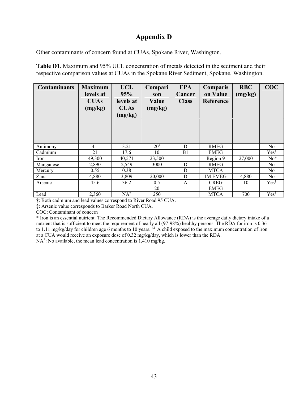# **Appendix D**

Other contaminants of concern found at CUAs, Spokane River, Washington.

**Table D1**. Maximum and 95% UCL concentration of metals detected in the sediment and their respective comparison values at CUAs in the Spokane River Sediment, Spokane, Washington.

| <b>Contaminants</b> | <b>Maximum</b><br>levels at<br><b>CUAs</b><br>(mg/kg) | <b>UCL</b><br>95%<br>levels at<br><b>CUAs</b><br>(mg/kg) | Compari<br>son<br>Value<br>(mg/kg) | <b>EPA</b><br>Cancer<br><b>Class</b> | <b>Comparis</b><br>on Value<br>Reference | <b>RBC</b><br>(mg/kg) | COC              |
|---------------------|-------------------------------------------------------|----------------------------------------------------------|------------------------------------|--------------------------------------|------------------------------------------|-----------------------|------------------|
| Antimony            | 4.1                                                   | 3.21                                                     | $20^{\circ}$                       | D                                    | <b>RMEG</b>                              |                       | No               |
| Cadmium             | 21                                                    | 17.6                                                     | 10                                 | B1                                   | <b>EMEG</b>                              |                       | $Yes^{\dagger}$  |
| Iron                | 49,300                                                | 40,571                                                   | 23,500                             |                                      | Region 9                                 | 27,000                | $No*$            |
| Manganese           | 2,890                                                 | 2,549                                                    | 3000                               | D                                    | <b>RMEG</b>                              |                       | N <sub>0</sub>   |
| Mercury             | 0.55                                                  | 0.38                                                     |                                    | D                                    | <b>MTCA</b>                              |                       | N <sub>0</sub>   |
| Zinc                | 4,880                                                 | 3,809                                                    | 20,000                             | D                                    | <b>IM EMEG</b>                           | 4,880                 | N <sub>0</sub>   |
| Arsenic             | 45.6                                                  | 36.2                                                     | 0.5                                | $\mathbf{A}$                         | <b>CREG</b>                              | 10                    | Yes <sup>T</sup> |
|                     |                                                       |                                                          | 20                                 |                                      | <b>EMEG</b>                              |                       |                  |
| Lead                | 2,360                                                 | $NA^+$                                                   | 250                                |                                      | <b>MTCA</b>                              | 700                   | Yes <sup>†</sup> |

†: Both cadmium and lead values correspond to River Road 95 CUA.

‡: Arsenic value corresponds to Barker Road North CUA.

COC: Contaminant of concern

\* Iron is an essential nutrient. The Recommended Dietary Allowance (RDA) is the average daily dietary intake of a nutrient that is sufficient to meet the requirement of nearly all (97-98%) healthy persons. The RDA for iron is 0.36 to 1.11 mg/kg/day for children age 6 months to 10 years.  $^{42}$  A child exposed to the maximum concentration of iron at a CUA would receive an exposure dose of 0.32 mg/kg/day, which is lower than the RDA.

 $NA^+$ : No available, the mean lead concentration is 1,410 mg/kg.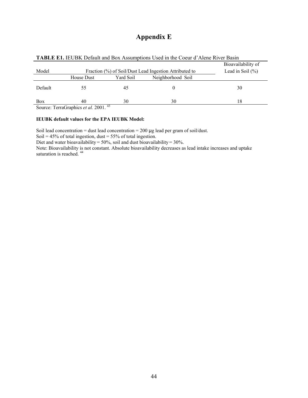# **Appendix E**

|         |                                                        |           |                   | Bioavailability of |  |  |  |  |
|---------|--------------------------------------------------------|-----------|-------------------|--------------------|--|--|--|--|
| Model   | Fraction (%) of Soil/Dust Lead Ingestion Attributed to |           |                   |                    |  |  |  |  |
|         | House Dust                                             | Yard Soil | Neighborhood Soil |                    |  |  |  |  |
| Default | 55.                                                    | 45        |                   | 30                 |  |  |  |  |
| Box     | 40<br>$\cdots$                                         | 30        | 30                | 18                 |  |  |  |  |

Source: TerraGraphics *et al.* 2001.<sup>43</sup>

#### **IEUBK default values for the EPA IEUBK Model:**

Soil lead concentration = dust lead concentration =  $200 \mu$ g lead per gram of soil/dust.

Soil =  $45\%$  of total ingestion, dust =  $55\%$  of total ingestion.

Diet and water bioavailability =  $50\%$ , soil and dust bioavailability =  $30\%$ .

Note: Bioavailability is not constant. Absolute bioavailability decreases as lead intake increases and uptake saturation is reached.<sup>44</sup>